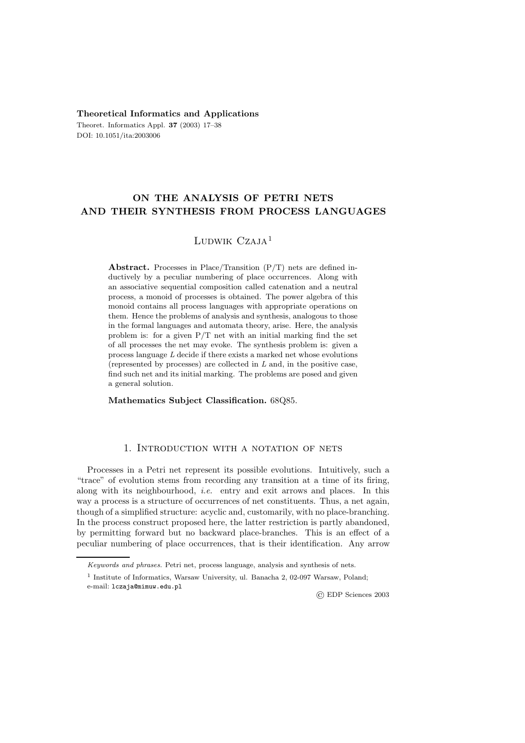## **Theoretical Informatics and Applications**

Theoret. Informatics Appl. **37** (2003) 17–38 DOI: 10.1051/ita:2003006

# **ON THE ANALYSIS OF PETRI NETS AND THEIR SYNTHESIS FROM PROCESS LANGUAGES**

Ludwik  $Cza<sub>1</sub>a<sup>1</sup>$ 

**Abstract.** Processes in Place/Transition (P/T) nets are defined inductively by a peculiar numbering of place occurrences. Along with an associative sequential composition called catenation and a neutral process, a monoid of processes is obtained. The power algebra of this monoid contains all process languages with appropriate operations on them. Hence the problems of analysis and synthesis, analogous to those in the formal languages and automata theory, arise. Here, the analysis problem is: for a given  $P/T$  net with an initial marking find the set of all processes the net may evoke. The synthesis problem is: given a process language L decide if there exists a marked net whose evolutions (represented by processes) are collected in  $L$  and, in the positive case, find such net and its initial marking. The problems are posed and given a general solution.

**Mathematics Subject Classification.** 68Q85.

# 1. INTRODUCTION WITH A NOTATION OF NETS

Processes in a Petri net represent its possible evolutions. Intuitively, such a "trace" of evolution stems from recording any transition at a time of its firing, along with its neighbourhood, *i.e.* entry and exit arrows and places. In this way a process is a structure of occurrences of net constituents. Thus, a net again, though of a simplified structure: acyclic and, customarily, with no place-branching. In the process construct proposed here, the latter restriction is partly abandoned, by permitting forward but no backward place-branches. This is an effect of a peculiar numbering of place occurrences, that is their identification. Any arrow

© EDP Sciences 2003

Keywords and phrases. Petri net, process language, analysis and synthesis of nets.

<sup>1</sup> Institute of Informatics, Warsaw University, ul. Banacha 2, 02-097 Warsaw, Poland; e-mail: lczaja@mimuw.edu.pl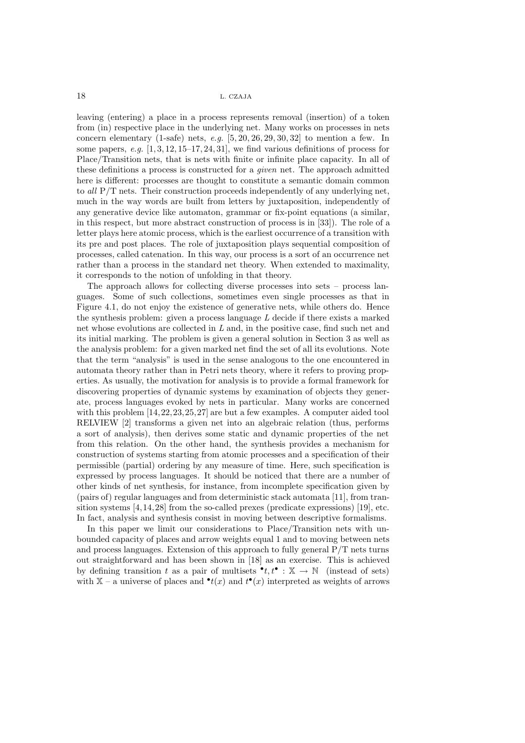leaving (entering) a place in a process represents removal (insertion) of a token from (in) respective place in the underlying net. Many works on processes in nets concern elementary (1-safe) nets, *e.g.* [5, 20, 26, 29, 30, 32] to mention a few. In some papers, *e.g.* [1, 3, 12, 15–17, 24, 31], we find various definitions of process for Place/Transition nets, that is nets with finite or infinite place capacity. In all of these definitions a process is constructed for a *given* net. The approach admitted here is different: processes are thought to constitute a semantic domain common to *all* P/T nets. Their construction proceeds independently of any underlying net, much in the way words are built from letters by juxtaposition, independently of any generative device like automaton, grammar or fix-point equations (a similar, in this respect, but more abstract construction of process is in [33]). The role of a letter plays here atomic process, which is the earliest occurrence of a transition with its pre and post places. The role of juxtaposition plays sequential composition of processes, called catenation. In this way, our process is a sort of an occurrence net rather than a process in the standard net theory. When extended to maximality, it corresponds to the notion of unfolding in that theory.

The approach allows for collecting diverse processes into sets – process languages. Some of such collections, sometimes even single processes as that in Figure 4.1, do not enjoy the existence of generative nets, while others do. Hence the synthesis problem: given a process language *L* decide if there exists a marked net whose evolutions are collected in *L* and, in the positive case, find such net and its initial marking. The problem is given a general solution in Section 3 as well as the analysis problem: for a given marked net find the set of all its evolutions. Note that the term "analysis" is used in the sense analogous to the one encountered in automata theory rather than in Petri nets theory, where it refers to proving properties. As usually, the motivation for analysis is to provide a formal framework for discovering properties of dynamic systems by examination of objects they generate, process languages evoked by nets in particular. Many works are concerned with this problem [14,22,23,25,27] are but a few examples. A computer aided tool RELVIEW [2] transforms a given net into an algebraic relation (thus, performs a sort of analysis), then derives some static and dynamic properties of the net from this relation. On the other hand, the synthesis provides a mechanism for construction of systems starting from atomic processes and a specification of their permissible (partial) ordering by any measure of time. Here, such specification is expressed by process languages. It should be noticed that there are a number of other kinds of net synthesis, for instance, from incomplete specification given by (pairs of) regular languages and from deterministic stack automata [11], from transition systems [4,14,28] from the so-called prexes (predicate expressions) [19], etc. In fact, analysis and synthesis consist in moving between descriptive formalisms.

In this paper we limit our considerations to Place/Transition nets with unbounded capacity of places and arrow weights equal 1 and to moving between nets and process languages. Extension of this approach to fully general  $P/T$  nets turns out straightforward and has been shown in [18] as an exercise. This is achieved by defining transition t as a pair of multisets  $\cdot t, t \cdot : \mathbb{X} \to \mathbb{N}$  (instead of sets) with  $X - a$  universe of places and  $\mathbf{t}(x)$  and  $\mathbf{t}(\mathbf{t}(x))$  interpreted as weights of arrows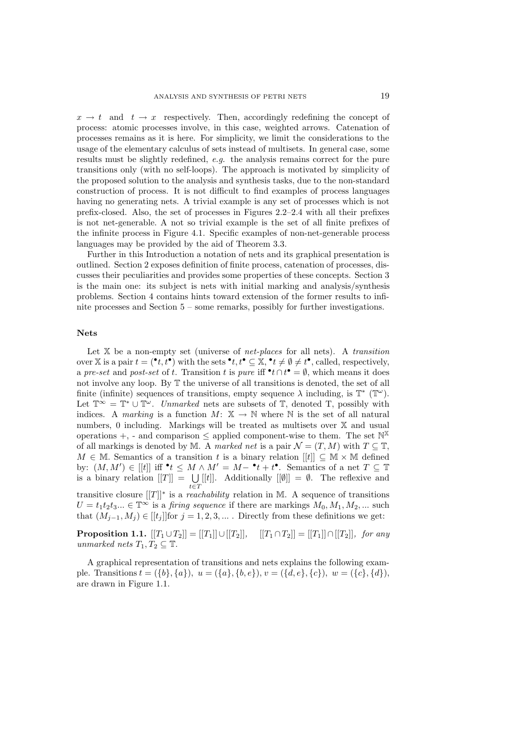$x \to t$  and  $t \to x$  respectively. Then, accordingly redefining the concept of process: atomic processes involve, in this case, weighted arrows. Catenation of processes remains as it is here. For simplicity, we limit the considerations to the usage of the elementary calculus of sets instead of multisets. In general case, some results must be slightly redefined, *e.g.* the analysis remains correct for the pure transitions only (with no self-loops). The approach is motivated by simplicity of the proposed solution to the analysis and synthesis tasks, due to the non-standard construction of process. It is not difficult to find examples of process languages having no generating nets. A trivial example is any set of processes which is not prefix-closed. Also, the set of processes in Figures 2.2–2.4 with all their prefixes is not net-generable. A not so trivial example is the set of all finite prefixes of the infinite process in Figure 4.1. Specific examples of non-net-generable process languages may be provided by the aid of Theorem 3.3.

Further in this Introduction a notation of nets and its graphical presentation is outlined. Section 2 exposes definition of finite process, catenation of processes, discusses their peculiarities and provides some properties of these concepts. Section 3 is the main one: its subject is nets with initial marking and analysis/synthesis problems. Section 4 contains hints toward extension of the former results to infinite processes and Section 5 – some remarks, possibly for further investigations.

#### **Nets**

Let X be a non-empty set (universe of *net-places* for all nets). A *transition* over X is a pair  $t = (\cdot t, t^{\bullet})$  with the sets  $\cdot t, t^{\bullet} \subseteq X, \cdot t \neq \emptyset \neq t^{\bullet}$ , called, respectively, a *pre-set* and *post-set* of t. Transition t is *pure* iff  $\cdot t \cap t^{\bullet} = \emptyset$ , which means it does not involve any loop. By T the universe of all transitions is denoted, the set of all finite (infinite) sequences of transitions, empty sequence  $\lambda$  including, is  $\mathbb{T}^*$  ( $\mathbb{T}^\omega$ ). Let  $\mathbb{T}^{\infty} = \mathbb{T}^* \cup \mathbb{T}^{\omega}$ . *Unmarked* nets are subsets of  $\mathbb{T}$ , denoted T, possibly with indices. A *marking* is a function  $M: \mathbb{X} \to \mathbb{N}$  where  $\mathbb N$  is the set of all natural numbers, 0 including. Markings will be treated as multisets over X and usual operations  $+$ , - and comparison  $\leq$  applied component-wise to them. The set  $\mathbb{N}^{\mathbb{X}}$ of all markings is denoted by M. A *marked net* is a pair  $\mathcal{N} = (T, M)$  with  $T \subseteq \mathbb{T}$ ,  $M \in \mathbb{M}$ . Semantics of a transition t is a binary relation  $[[t]] \subseteq \mathbb{M} \times \mathbb{M}$  defined by:  $(M, M') \in [[t]]$  iff  $\mathbf{t} \leq M \wedge M' = M - \mathbf{t} + t^{\bullet}$ . Semantics of a net  $T \subseteq \mathbb{T}$ is a binary relation  $[[T]] = \bigcup$  $t \in T$ [[t]]. Additionally  $[[\emptyset]] = \emptyset$ . The reflexive and transitive closure  $[[T]]^*$  is a *reachability* relation in M. A sequence of transitions  $U = t_1 t_2 t_3 ... \in \mathbb{T}^\infty$  is a *firing sequence* if there are markings  $M_0, M_1, M_2, ...$  such that  $(M_{j-1}, M_j) \in [[t_j]]$  for  $j = 1, 2, 3, \dots$ . Directly from these definitions we get:

**Proposition 1.1.**  $[[T_1 \cup T_2]] = [[T_1]] \cup [[T_2]],$   $[[T_1 \cap T_2]] = [[T_1]] \cap [[T_2]],$  for any *unmarked nets*  $T_1, T_2 \subseteq \mathbb{T}$ .

A graphical representation of transitions and nets explains the following example. Transitions  $t = (\{b\}, \{a\}), u = (\{a\}, \{b, e\}), v = (\{d, e\}, \{c\}), w = (\{c\}, \{d\}),$ are drawn in Figure 1.1.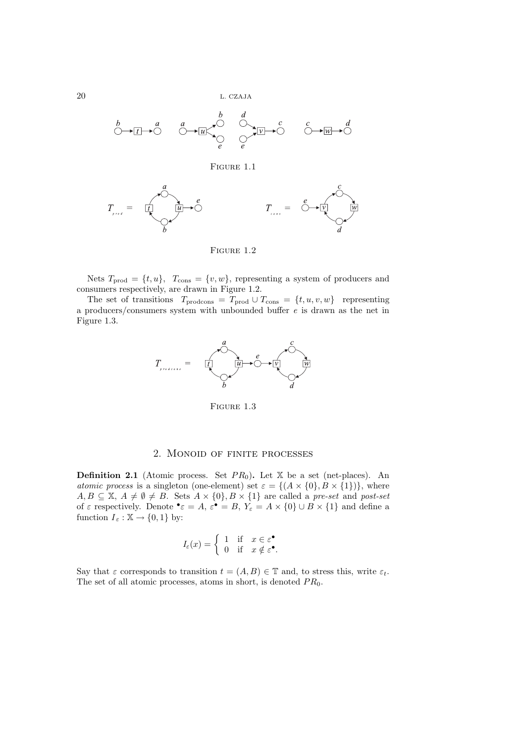

## Figure 1.1



FIGURE 1.2

Nets  $T_{\text{prod}} = \{t, u\}, T_{\text{cons}} = \{v, w\},$  representing a system of producers and consumers respectively, are drawn in Figure 1.2.

The set of transitions  $T_{\text{prodcons}} = T_{\text{prod}} \cup T_{\text{cons}} = \{t, u, v, w\}$  representing a producers/consumers system with unbounded buffer *e* is drawn as the net in Figure 1.3.



FIGURE 1.3

#### 2. Monoid of finite processes

**Definition 2.1** (Atomic process. Set  $PR_0$ ). Let  $X$  be a set (net-places). An *atomic process* is a singleton (one-element) set  $\varepsilon = \{(A \times \{0\}, B \times \{1\})\}$ , where  $A, B \subseteq \mathbb{X}, A \neq \emptyset \neq B$ . Sets  $A \times \{0\}, B \times \{1\}$  are called a *pre-set* and *post-set* of  $\varepsilon$  respectively. Denote  $\bullet \varepsilon = A$ ,  $\varepsilon \bullet = B$ ,  $Y_{\varepsilon} = A \times \{0\} \cup B \times \{1\}$  and define a function  $I_{\varepsilon} : \mathbb{X} \to \{0, 1\}$  by:

$$
I_{\varepsilon}(x) = \begin{cases} 1 & \text{if } x \in \varepsilon^{\bullet} \\ 0 & \text{if } x \notin \varepsilon^{\bullet}. \end{cases}
$$

Say that  $\varepsilon$  corresponds to transition  $t = (A, B) \in \mathbb{T}$  and, to stress this, write  $\varepsilon_t$ . The set of all atomic processes, atoms in short, is denoted  $PR_0$ .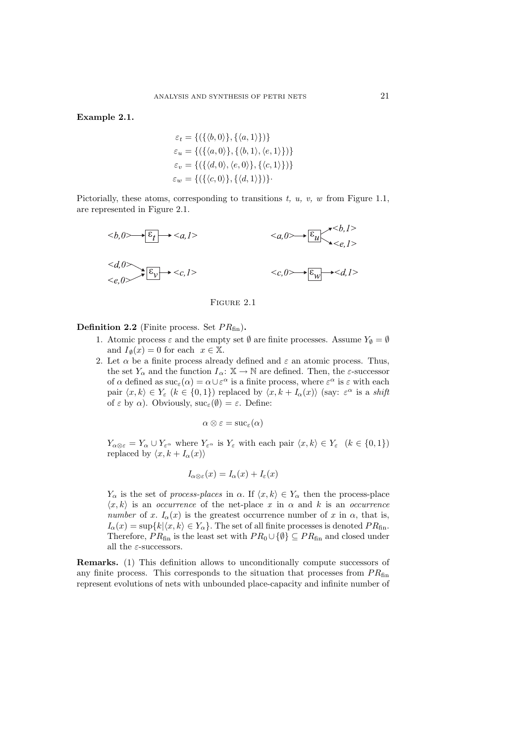**Example 2.1.**

$$
\varepsilon_t = \{ (\{\langle b, 0 \rangle\}, \{\langle a, 1 \rangle\}) \}
$$
  
\n
$$
\varepsilon_u = \{ (\{\langle a, 0 \rangle\}, \{\langle b, 1 \rangle, \langle e, 1 \rangle\}) \}
$$
  
\n
$$
\varepsilon_v = \{ (\{\langle d, 0 \rangle, \langle e, 0 \rangle\}, \{\langle c, 1 \rangle\}) \}
$$
  
\n
$$
\varepsilon_w = \{ (\{\langle c, 0 \rangle\}, \{\langle d, 1 \rangle\}) \}.
$$

Pictorially, these atoms, corresponding to transitions *t, u, v, w* from Figure 1.1, are represented in Figure 2.1.



#### FIGURE 2.1

## **Definition 2.2** (Finite process. Set  $PR_{fin}$ ).

- 1. Atomic process  $\varepsilon$  and the empty set  $\emptyset$  are finite processes. Assume  $Y_{\emptyset} = \emptyset$ and  $I_{\emptyset}(x) = 0$  for each  $x \in \mathbb{X}$ .
- 2. Let  $\alpha$  be a finite process already defined and  $\varepsilon$  an atomic process. Thus, the set  $Y_{\alpha}$  and the function  $I_{\alpha} : \mathbb{X} \to \mathbb{N}$  are defined. Then, the  $\varepsilon$ -successor of  $\alpha$  defined as  $\text{succ}_{\varepsilon}(\alpha) = \alpha \cup \varepsilon^{\alpha}$  is a finite process, where  $\varepsilon^{\alpha}$  is  $\varepsilon$  with each pair  $\langle x, k \rangle \in Y_{\varepsilon}$   $(k \in \{0, 1\})$  replaced by  $\langle x, k + I_{\alpha}(x) \rangle$  (say:  $\varepsilon^{\alpha}$  is a *shift* of  $\varepsilon$  by  $\alpha$ ). Obviously,  $\text{succ}_{\varepsilon}(\emptyset) = \varepsilon$ . Define:

$$
\alpha\otimes\varepsilon=\mathrm{suc}_\varepsilon(\alpha)
$$

 $Y_{\alpha\otimes \varepsilon} = Y_{\alpha} \cup Y_{\varepsilon}$  where  $Y_{\varepsilon}$  is  $Y_{\varepsilon}$  with each pair  $\langle x, k \rangle \in Y_{\varepsilon} \quad (k \in \{0, 1\})$ replaced by  $\langle x, k + I_\alpha(x) \rangle$ 

$$
I_{\alpha\otimes\varepsilon}(x) = I_{\alpha}(x) + I_{\varepsilon}(x)
$$

 $Y_{\alpha}$  is the set of *process-places* in  $\alpha$ . If  $\langle x, k \rangle \in Y_{\alpha}$  then the process-place  $\langle x, k \rangle$  is an *occurrence* of the net-place x in  $\alpha$  and k is an *occurrence number* of x.  $I_\alpha(x)$  is the greatest occurrence number of x in  $\alpha$ , that is,  $I_{\alpha}(x) = \sup\{k|\langle x, k \rangle \in Y_{\alpha}\}.$  The set of all finite processes is denoted  $PR_{fin}$ . Therefore,  $PR_{fin}$  is the least set with  $PR_0 \cup \{\emptyset\} \subseteq PR_{fin}$  and closed under all the  $\varepsilon$ -successors.

**Remarks.** (1) This definition allows to unconditionally compute successors of any finite process. This corresponds to the situation that processes from  $PR_{fin}$ represent evolutions of nets with unbounded place-capacity and infinite number of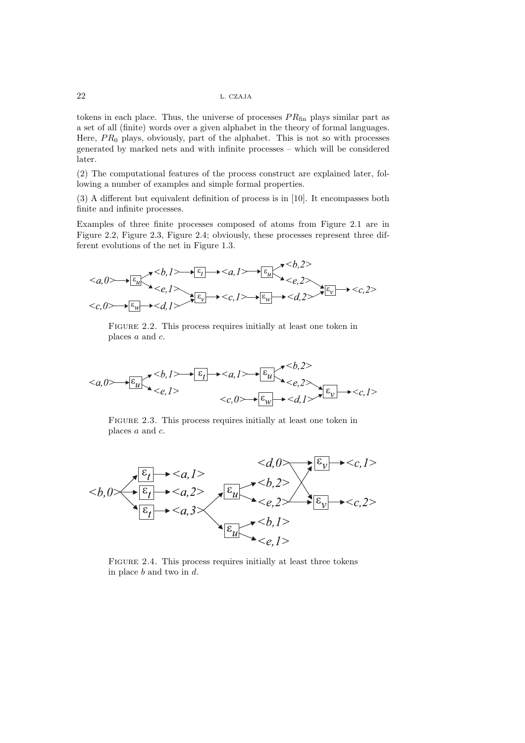tokens in each place. Thus, the universe of processes  $PR_{fin}$  plays similar part as a set of all (finite) words over a given alphabet in the theory of formal languages. Here,  $PR_0$  plays, obviously, part of the alphabet. This is not so with processes generated by marked nets and with infinite processes – which will be considered later.

(2) The computational features of the process construct are explained later, following a number of examples and simple formal properties.

(3) A different but equivalent definition of process is in [10]. It encompasses both finite and infinite processes.

Examples of three finite processes composed of atoms from Figure 2.1 are in Figure 2.2, Figure 2.3, Figure 2.4; obviously, these processes represent three different evolutions of the net in Figure 1.3.

$$
\langle a, 0 \rangle \longrightarrow \boxed{\varepsilon_u} \longrightarrow \langle b, 1 \rangle \longrightarrow \boxed{\varepsilon_t} \longrightarrow \langle a, 1 \rangle \longrightarrow \boxed{\varepsilon_u} \longrightarrow \langle b, 2 \rangle
$$
  

$$
\langle e, 1 \rangle \longrightarrow \langle \varepsilon_v \rangle \longrightarrow \langle c, 1 \rangle \longrightarrow \boxed{\varepsilon_v} \longrightarrow \langle d, 2 \rangle \longrightarrow \boxed{\varepsilon_v} \longrightarrow \langle c, 2 \rangle
$$

FIGURE 2.2. This process requires initially at least one token in places a and c.

$$
\langle a, 0 \rangle \longrightarrow \mathbb{E}_{u} \longrightarrow \mathbb{E}_{u} \longrightarrow \mathbb{E}_{t} \longrightarrow \langle a, 1 \rangle \longrightarrow \mathbb{E}_{u} \longrightarrow \mathbb{E}_{u} \longrightarrow \langle b, 2 \rangle
$$
  

$$
\langle e, 1 \rangle \longrightarrow \langle e, 1 \rangle \longrightarrow \mathbb{E}_{u} \longrightarrow \langle e, 2 \rangle \longrightarrow \mathbb{E}_{v} \longrightarrow \langle c, 1 \rangle
$$

FIGURE 2.3. This process requires initially at least one token in places a and c.



FIGURE 2.4. This process requires initially at least three tokens in place  $b$  and two in  $d$ .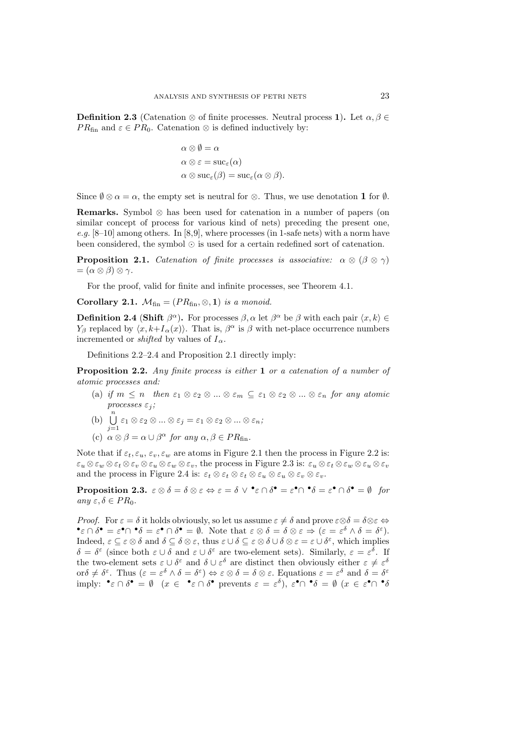**Definition 2.3** (Catenation  $\otimes$  of finite processes. Neutral process 1). Let  $\alpha, \beta \in$  $PR_{fin}$  and  $\varepsilon \in PR_0$ . Catenation ⊗ is defined inductively by:

$$
\alpha \otimes \emptyset = \alpha
$$
  
\n
$$
\alpha \otimes \varepsilon = \mathrm{suc}_{\varepsilon}(\alpha)
$$
  
\n
$$
\alpha \otimes \mathrm{suc}_{\varepsilon}(\beta) = \mathrm{suc}_{\varepsilon}(\alpha \otimes \beta).
$$

Since  $\emptyset \otimes \alpha = \alpha$ , the empty set is neutral for  $\otimes$ . Thus, we use denotation **1** for  $\emptyset$ .

**Remarks.** Symbol  $\otimes$  has been used for catenation in a number of papers (on similar concept of process for various kind of nets) preceding the present one, *e.g.* [8–10] among others. In [8,9], where processes (in 1-safe nets) with a norm have been considered, the symbol  $\odot$  is used for a certain redefined sort of catenation.

**Proposition 2.1.** *Catenation of finite processes is associative:*  $\alpha \otimes (\beta \otimes \gamma)$  $=(\alpha\otimes\beta)\otimes\gamma$ .

For the proof, valid for finite and infinite processes, see Theorem 4.1.

**Corollary 2.1.**  $M_{fin} = (PR_{fin}, \otimes, 1)$  *is a monoid.* 

**Definition 2.4 (Shift**  $\beta^{\alpha}$ ). For processes  $\beta$ ,  $\alpha$  let  $\beta^{\alpha}$  be  $\beta$  with each pair  $\langle x, k \rangle \in$ *Y*<sub>β</sub> replaced by  $\langle x, k+I_\alpha(x) \rangle$ . That is,  $\beta^\alpha$  is  $\beta$  with net-place occurrence numbers incremented or *shifted* by values of  $I_{\alpha}$ .

Definitions 2.2–2.4 and Proposition 2.1 directly imply:

**Proposition 2.2.** *Any finite process is either* **1** *or a catenation of a number of atomic processes and:*

- (a) *if*  $m \leq n$  *then*  $\varepsilon_1 \otimes \varepsilon_2 \otimes ... \otimes \varepsilon_m \subseteq \varepsilon_1 \otimes \varepsilon_2 \otimes ... \otimes \varepsilon_n$  *for any atomic processes*  $\varepsilon_i$ *;*
- (b)  $\bigcup^{n}$  $\bigcup_{j=1}^{\infty} \varepsilon_1 \otimes \varepsilon_2 \otimes ... \otimes \varepsilon_j = \varepsilon_1 \otimes \varepsilon_2 \otimes ... \otimes \varepsilon_n;$
- (c)  $\alpha \otimes \beta = \alpha \cup \beta^{\alpha}$  *for any*  $\alpha, \beta \in PR_{fin}$ .

Note that if  $\varepsilon_t$ ,  $\varepsilon_u$ ,  $\varepsilon_v$ ,  $\varepsilon_w$  are atoms in Figure 2.1 then the process in Figure 2.2 is:  $\varepsilon_u \otimes \varepsilon_w \otimes \varepsilon_v \otimes \varepsilon_u \otimes \varepsilon_v \otimes \varepsilon_v$ , the process in Figure 2.3 is:  $\varepsilon_u \otimes \varepsilon_t \otimes \varepsilon_w \otimes \varepsilon_v \otimes \varepsilon_v$ and the process in Figure 2.4 is:  $\varepsilon_t \otimes \varepsilon_t \otimes \varepsilon_t \otimes \varepsilon_u \otimes \varepsilon_v \otimes \varepsilon_v \otimes \varepsilon_v$ .

**Proposition 2.3.**  $\varepsilon \otimes \delta = \delta \otimes \varepsilon \Leftrightarrow \varepsilon = \delta \vee \cdot \varepsilon \cap \delta \cdot \varepsilon = \varepsilon \cdot \cap \delta \cdot \varepsilon = \emptyset$  for  $any \varepsilon, \delta \in PR_0$ .

*Proof.* For  $\varepsilon = \delta$  it holds obviously, so let us assume  $\varepsilon \neq \delta$  and prove  $\varepsilon \otimes \delta = \delta \otimes \varepsilon \Leftrightarrow$  $\bullet \varepsilon \cap \delta \bullet = \varepsilon \bullet \cap \bullet \bullet = \varepsilon \bullet \cap \delta \bullet = \emptyset$ . Note that  $\varepsilon \otimes \delta = \delta \otimes \varepsilon \Rightarrow (\varepsilon = \varepsilon^{\delta} \wedge \delta = \delta \varepsilon)$ . Indeed,  $\varepsilon \subseteq \varepsilon \otimes \delta$  and  $\delta \subseteq \delta \otimes \varepsilon$ , thus  $\varepsilon \cup \delta \subseteq \varepsilon \otimes \delta \cup \delta \otimes \varepsilon = \varepsilon \cup \delta^{\varepsilon}$ , which implies  $\delta = \delta^{\varepsilon}$  (since both  $\varepsilon \cup \delta$  and  $\varepsilon \cup \delta^{\varepsilon}$  are two-element sets). Similarly,  $\varepsilon = \varepsilon^{\delta}$ . If the two-element sets  $\varepsilon \cup \delta^{\varepsilon}$  and  $\delta \cup \varepsilon^{\delta}$  are distinct then obviously either  $\varepsilon \neq \varepsilon^{\delta}$ or $\delta \neq \delta^{\varepsilon}$ . Thus  $(\varepsilon = \varepsilon^{\delta} \wedge \delta = \delta^{\varepsilon}) \Leftrightarrow \varepsilon \otimes \delta = \delta \otimes \varepsilon$ . Equations  $\varepsilon = \varepsilon^{\delta}$  and  $\delta = \delta^{\varepsilon}$ imply:  $\bullet \varepsilon \cap \delta \bullet = \emptyset$  ( $x \in \bullet \varepsilon \cap \delta \bullet$  prevents  $\varepsilon = \varepsilon^{\delta}$ ),  $\varepsilon \bullet \cap \bullet \delta = \emptyset$  ( $x \in \varepsilon \bullet \cap \bullet \delta$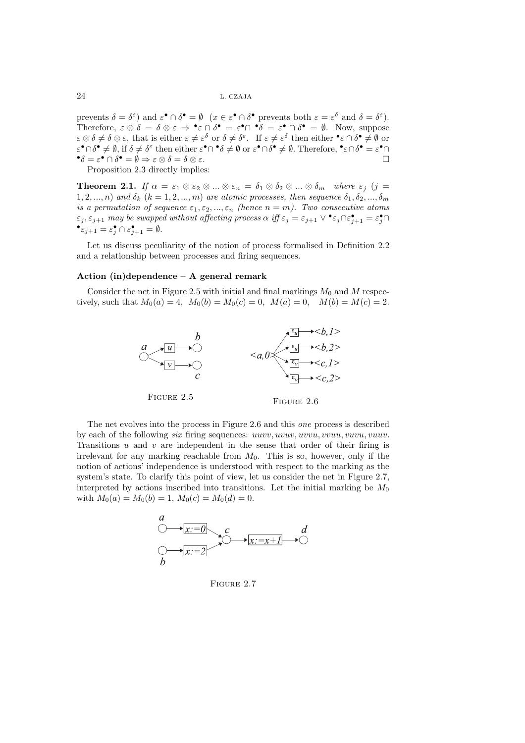prevents  $\delta = \delta^{\varepsilon}$  and  $\varepsilon^{\bullet} \cap \delta^{\bullet} = \emptyset$   $(x \in \varepsilon^{\bullet} \cap \delta^{\bullet})$  prevents both  $\varepsilon = \varepsilon^{\delta}$  and  $\delta = \delta^{\varepsilon}$ . Therefore,  $\varepsilon \otimes \delta = \delta \otimes \varepsilon \Rightarrow \bullet \varepsilon \cap \delta \bullet = \varepsilon \bullet \cap \bullet \bullet = \varepsilon \bullet \cap \delta \bullet = \emptyset$ . Now, suppose  $\varepsilon \otimes \delta \neq \delta \otimes \varepsilon$ , that is either  $\varepsilon \neq \varepsilon^{\delta}$  or  $\delta \neq \delta^{\varepsilon}$ . If  $\varepsilon \neq \varepsilon^{\delta}$  then either  $\bullet \varepsilon \cap \delta \bullet \neq \emptyset$  or  $\varepsilon^{\bullet} \cap \delta^{\bullet} \neq \emptyset$ , if  $\delta \neq \delta^{\varepsilon}$  then either  $\varepsilon^{\bullet} \cap {\bullet}^{\delta} \neq \emptyset$  or  $\varepsilon^{\bullet} \cap \delta^{\bullet} \neq \emptyset$ . Therefore,  $^{\bullet} \varepsilon \cap \delta^{\bullet} = \varepsilon^{\bullet} \cap$  $\bullet \delta = \varepsilon \bullet \cap \delta \bullet = \emptyset \Rightarrow \varepsilon \otimes \delta = \delta \otimes \varepsilon.$ 

Proposition 2.3 directly implies:

**Theorem 2.1.** *If*  $\alpha = \varepsilon_1 \otimes \varepsilon_2 \otimes ... \otimes \varepsilon_n = \delta_1 \otimes \delta_2 \otimes ... \otimes \delta_m$  *where*  $\varepsilon_j$  (j = 1, 2, ..., n) and  $\delta_k$  ( $k = 1, 2, ..., m$ ) are atomic processes, then sequence  $\delta_1, \delta_2, ..., \delta_m$ *is a permutation of sequence*  $\varepsilon_1, \varepsilon_2, ..., \varepsilon_n$  *(hence*  $n = m$ *). Two consecutive atoms*  $\varepsilon_j$ ,  $\varepsilon_{j+1}$  *may be swapped without affecting process*  $\alpha$  *iff*  $\varepsilon_j = \varepsilon_{j+1} \vee \bullet \varepsilon_j \cap \varepsilon_{j+1}^{\bullet} = \varepsilon_j^{\bullet} \cap$  $\bullet \varepsilon_{j+1} = \varepsilon_j^{\bullet} \cap \varepsilon_{j+1}^{\bullet} = \emptyset.$ 

Let us discuss peculiarity of the notion of process formalised in Definition 2.2 and a relationship between processes and firing sequences.

#### **Action (in)dependence – A general remark**

Consider the net in Figure 2.5 with initial and final markings  $M_0$  and M respectively, such that  $M_0(a) = 4$ ,  $M_0(b) = M_0(c) = 0$ ,  $M(a) = 0$ ,  $M(b) = M(c) = 2$ .



The net evolves into the process in Figure 2.6 and this *one* process is described by each of the following *six* firing sequences: uuvv, uvuv, uvvu, vvuu, vuvu, vuuv. Transitions  $u$  and  $v$  are independent in the sense that order of their firing is irrelevant for any marking reachable from  $M_0$ . This is so, however, only if the notion of actions' independence is understood with respect to the marking as the system's state. To clarify this point of view, let us consider the net in Figure 2.7, interpreted by actions inscribed into transitions. Let the initial marking be  $M_0$ with  $M_0(a) = M_0(b) = 1, M_0(c) = M_0(d) = 0.$ 



FIGURE 2.7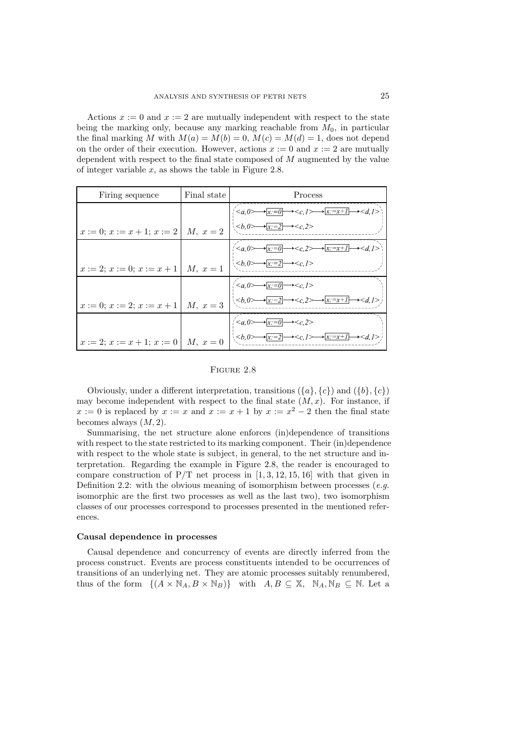Actions  $x := 0$  and  $x := 2$  are mutually independent with respect to the state being the marking only, because any marking reachable from  $M_0$ , in particular the final marking M with  $M(a) = M(b) = 0$ ,  $M(c) = M(d) = 1$ , does not depend on the order of their execution. However, actions  $x := 0$  and  $x := 2$  are mutually dependent with respect to the final state composed of M augmented by the value of integer variable  $x$ , as shows the table in Figure 2.8.

| Firing sequence              | Final state | Process                                                                                                                                                             |  |  |  |
|------------------------------|-------------|---------------------------------------------------------------------------------------------------------------------------------------------------------------------|--|--|--|
|                              |             | $\rightarrow$ $x:=0$ $\rightarrow$ < c, 1> $\rightarrow$ $x:=x+1$ $\rightarrow$ < d, 1><br>$\leq a, 0 \geq$                                                         |  |  |  |
| $x := 0; x := x + 1; x := 2$ | $M, x=2$    | $\langle 0,0>$<br>$\rightarrow x:=2$<br>$\rightarrow $                                                                                                              |  |  |  |
|                              |             | $\langle \langle a, 0 \rangle \longrightarrow x := 0 \longrightarrow \langle c, 2 \rangle \longrightarrow x := x + 1 \longrightarrow \langle d, 1 \rangle$          |  |  |  |
| $x := 2; x := 0; x := x + 1$ | $M, x=1$    | $\rightarrow$ $x:=2$ $\rightarrow$ < $c,1$ ><br>$\langle 0,0>$                                                                                                      |  |  |  |
|                              |             | $\leq a, 0 \geq$<br>$\rightarrow  x:=0$<br>$\rightarrow <_{c, l} >$                                                                                                 |  |  |  |
| $x := 0; x := 2; x := x + 1$ | $M, x=3$    | $\langle b,0\rangle \longrightarrow  x:=2  \longrightarrow c,2\rangle \longrightarrow  x:=x+1 \longrightarrow d,1\rangle$                                           |  |  |  |
|                              |             | $\leq a, 0 >$<br>$\rightarrow  x:=0  \rightarrow $                                                                                                                  |  |  |  |
| $x := 2; x := x + 1; x := 0$ | $M, x=0$    | $\langle 0,0 \rangle \longrightarrow  x:=2 $<br>$\rightarrow <_{{\cal C},I} \rightarrow \rightarrow \rightarrow \rightarrow \rightarrow I$<br>$\rightarrow <$ d. 1> |  |  |  |

#### FIGURE 2.8

Obviously, under a different interpretation, transitions  $({a}, {c})$  and  $({b}, {c})$ may become independent with respect to the final state  $(M, x)$ . For instance, if  $x := 0$  is replaced by  $x := x$  and  $x := x + 1$  by  $x := x<sup>2</sup> - 2$  then the final state becomes always  $(M, 2)$ .

Summarising, the net structure alone enforces (in)dependence of transitions with respect to the state restricted to its marking component. Their (in)dependence with respect to the whole state is subject, in general, to the net structure and interpretation. Regarding the example in Figure 2.8, the reader is encouraged to compare construction of  $P/T$  net process in [1, 3, 12, 15, 16] with that given in Definition 2.2: with the obvious meaning of isomorphism between processes (*e.g.* isomorphic are the first two processes as well as the last two), two isomorphism classes of our processes correspond to processes presented in the mentioned references.

#### **Causal dependence in processes**

Causal dependence and concurrency of events are directly inferred from the process construct. Events are process constituents intended to be occurrences of transitions of an underlying net. They are atomic processes suitably renumbered, thus of the form  $\{(A \times \mathbb{N}_A, B \times \mathbb{N}_B)\}\$  with  $A, B \subseteq \mathbb{X}, \mathbb{N}_A, \mathbb{N}_B \subseteq \mathbb{N}$ . Let a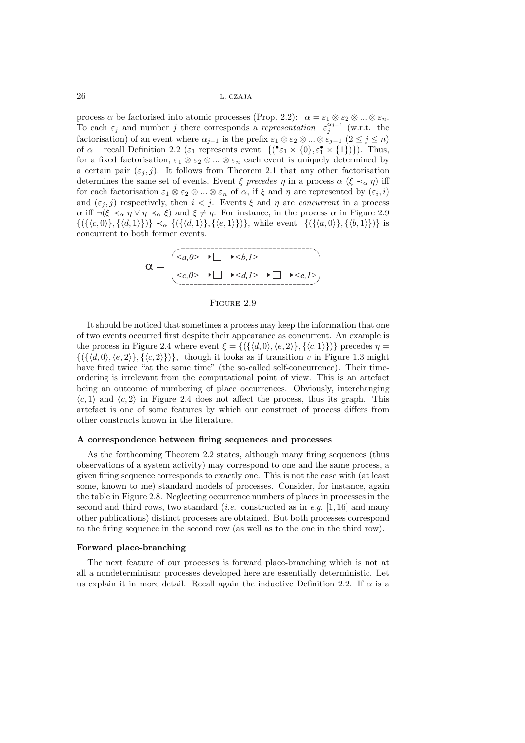process  $\alpha$  be factorised into atomic processes (Prop. 2.2):  $\alpha = \varepsilon_1 \otimes \varepsilon_2 \otimes ... \otimes \varepsilon_n$ . To each  $\varepsilon_j$  and number j there corresponds a *representation*  $\varepsilon_j^{\alpha_{j-1}}$  (w.r.t. the factorisation) of an event where  $\alpha_{j-1}$  is the prefix  $\varepsilon_1 \otimes \varepsilon_2 \otimes ... \otimes \varepsilon_{j-1}$   $(2 \leq j \leq n)$ of  $\alpha$  – recall Definition 2.2 ( $\varepsilon_1$  represents event  $\{({}^{\bullet}\varepsilon_1 \times \{0\}, \varepsilon_1^{\bullet} \times \{1\})\}$ ). Thus, for a fixed factorisation,  $\varepsilon_1 \otimes \varepsilon_2 \otimes ... \otimes \varepsilon_n$  each event is uniquely determined by a certain pair  $(\varepsilon_i, j)$ . It follows from Theorem 2.1 that any other factorisation determines the same set of events. Event  $\xi$  *precedes*  $\eta$  in a process  $\alpha$  ( $\xi \prec_{\alpha} \eta$ ) iff for each factorisation  $\varepsilon_1 \otimes \varepsilon_2 \otimes ... \otimes \varepsilon_n$  of  $\alpha$ , if  $\xi$  and  $\eta$  are represented by  $(\varepsilon_i, i)$ and  $(\varepsilon_i, j)$  respectively, then  $i < j$ . Events  $\xi$  and  $\eta$  are *concurrent* in a process  $\alpha$  iff  $\neg(\xi \prec_\alpha \eta \lor \eta \prec_\alpha \xi)$  and  $\xi \neq \eta$ . For instance, in the process  $\alpha$  in Figure 2.9  $\{({\{\langle c, 0 \rangle\}, {\{\langle d, 1 \rangle\}}}) \prec_{\alpha} {\{\{\langle d, 1 \rangle\}, {\{\langle e, 1 \rangle\}}\}},$  while event  ${\{\{\langle a, 0 \rangle\}, {\{\langle b, 1 \rangle\}}\}}$  is concurrent to both former events.



FIGURE 2.9

It should be noticed that sometimes a process may keep the information that one of two events occurred first despite their appearance as concurrent. An example is the process in Figure 2.4 where event  $\xi = \{ (\{\langle d, 0 \rangle, \langle e, 2 \rangle\}, \{\langle c, 1 \rangle\}) \}$  precedes  $\eta =$  $\{(\{\langle d, 0 \rangle, \langle e, 2 \rangle\}, \{\langle c, 2 \rangle\})\}$ , though it looks as if transition v in Figure 1.3 might have fired twice "at the same time" (the so-called self-concurrence). Their timeordering is irrelevant from the computational point of view. This is an artefact being an outcome of numbering of place occurrences. Obviously, interchanging  $\langle c, 1 \rangle$  and  $\langle c, 2 \rangle$  in Figure 2.4 does not affect the process, thus its graph. This artefact is one of some features by which our construct of process differs from other constructs known in the literature.

#### **A correspondence between firing sequences and processes**

As the forthcoming Theorem 2.2 states, although many firing sequences (thus observations of a system activity) may correspond to one and the same process, a given firing sequence corresponds to exactly one. This is not the case with (at least some, known to me) standard models of processes. Consider, for instance, again the table in Figure 2.8. Neglecting occurrence numbers of places in processes in the second and third rows, two standard (*i.e.* constructed as in *e.g.* [1, 16] and many other publications) distinct processes are obtained. But both processes correspond to the firing sequence in the second row (as well as to the one in the third row).

## **Forward place-branching**

The next feature of our processes is forward place-branching which is not at all a nondeterminism: processes developed here are essentially deterministic. Let us explain it in more detail. Recall again the inductive Definition 2.2. If  $\alpha$  is a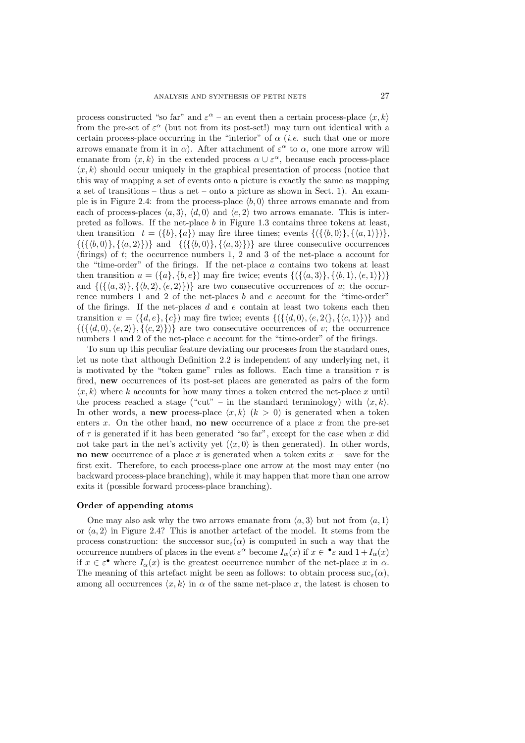process constructed "so far" and  $\varepsilon^{\alpha}$  – an event then a certain process-place  $\langle x, k \rangle$ from the pre-set of  $\varepsilon^{\alpha}$  (but not from its post-set!) may turn out identical with a certain process-place occurring in the "interior" of  $\alpha$  (*i.e.* such that one or more arrows emanate from it in  $\alpha$ ). After attachment of  $\varepsilon^{\alpha}$  to  $\alpha$ , one more arrow will emanate from  $\langle x, k \rangle$  in the extended process  $\alpha \cup \varepsilon^{\alpha}$ , because each process-place  $\langle x, k \rangle$  should occur uniquely in the graphical presentation of process (notice that this way of mapping a set of events onto a picture is exactly the same as mapping a set of transitions – thus a net – onto a picture as shown in Sect. 1). An example is in Figure 2.4: from the process-place  $\langle b, 0 \rangle$  three arrows emanate and from each of process-places  $\langle a, 3 \rangle$ ,  $\langle d, 0 \rangle$  and  $\langle e, 2 \rangle$  two arrows emanate. This is interpreted as follows. If the net-place  $b$  in Figure 1.3 contains three tokens at least, then transition  $t = (\{b\}, \{a\})$  may fire three times; events  $\{(\{\langle b, 0 \rangle\}, \{\langle a, 1 \rangle\})\}$ ,  $\{({\langle b, 0 \rangle}, {\langle a, 2 \rangle})\}$  and  $\{({\langle b, 0 \rangle}, {\langle a, 3 \rangle})\}$  are three consecutive occurrences (firings) of  $t$ ; the occurrence numbers 1, 2 and 3 of the net-place  $a$  account for the "time-order" of the firings. If the net-place  $a$  contains two tokens at least then transition  $u = (\{a\}, \{b, e\})$  may fire twice; events  $\{(\{\langle a, 3 \rangle\}, \{\langle b, 1 \rangle, \langle e, 1 \rangle\})\}$ and  $\{\{\langle \langle a, 3 \rangle\}, \{\langle b, 2 \rangle, \langle e, 2 \rangle\}\}\$ are two consecutive occurrences of u; the occurrence numbers 1 and 2 of the net-places b and e account for the "time-order" of the firings. If the net-places  $d$  and  $e$  contain at least two tokens each then transition  $v = (\{d, e\}, \{c\})$  may fire twice; events  $\{(\{\langle d, 0 \rangle, \langle e, 2 \langle \} , \{\langle c, 1 \rangle\})\}$  and  $\{(\{\langle d, 0 \rangle, \langle e, 2 \rangle\}, \{\langle c, 2 \rangle\})\}$  are two consecutive occurrences of v; the occurrence numbers 1 and 2 of the net-place c account for the "time-order" of the firings.

To sum up this peculiar feature deviating our processes from the standard ones, let us note that although Definition 2.2 is independent of any underlying net, it is motivated by the "token game" rules as follows. Each time a transition  $\tau$  is fired, **new** occurrences of its post-set places are generated as pairs of the form  $\langle x, k \rangle$  where k accounts for how many times a token entered the net-place x until the process reached a stage ("cut" – in the standard terminology) with  $\langle x, k \rangle$ . In other words, a **new** process-place  $\langle x, k \rangle$  ( $k > 0$ ) is generated when a token enters  $x$ . On the other hand, **no new** occurrence of a place  $x$  from the pre-set of  $\tau$  is generated if it has been generated "so far", except for the case when x did not take part in the net's activity yet  $(\langle x, 0 \rangle)$  is then generated). In other words, **no new** occurrence of a place x is generated when a token exits  $x -$  save for the first exit. Therefore, to each process-place one arrow at the most may enter (no backward process-place branching), while it may happen that more than one arrow exits it (possible forward process-place branching).

## **Order of appending atoms**

One may also ask why the two arrows emanate from  $\langle a, 3 \rangle$  but not from  $\langle a, 1 \rangle$ or  $\langle a, 2 \rangle$  in Figure 2.4? This is another artefact of the model. It stems from the process construction: the successor  $\text{succ}_{\varepsilon}(\alpha)$  is computed in such a way that the occurrence numbers of places in the event  $\varepsilon^{\alpha}$  become  $I_{\alpha}(x)$  if  $x \in \bullet \varepsilon$  and  $1+I_{\alpha}(x)$ if  $x \in \varepsilon^{\bullet}$  where  $I_{\alpha}(x)$  is the greatest occurrence number of the net-place x in  $\alpha$ . The meaning of this artefact might be seen as follows: to obtain process  $\mathrm{suc}_{\varepsilon}(\alpha)$ , among all occurrences  $\langle x, k \rangle$  in  $\alpha$  of the same net-place x, the latest is chosen to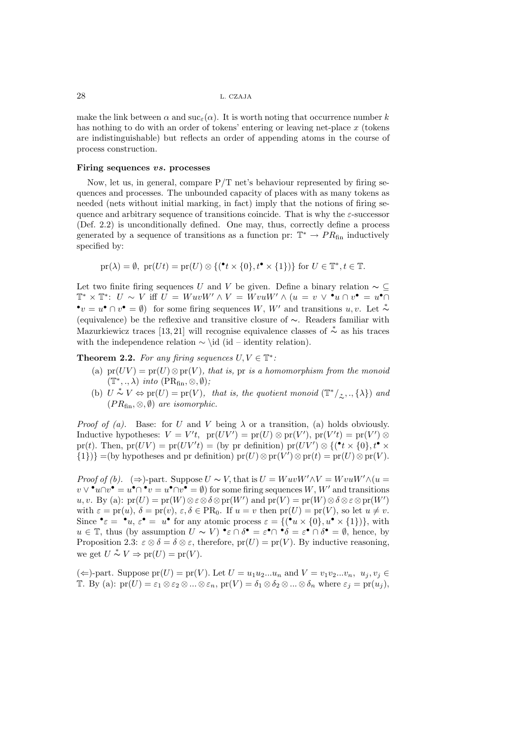make the link between  $\alpha$  and  $\text{succ}_{\varepsilon}(\alpha)$ . It is worth noting that occurrence number k has nothing to do with an order of tokens' entering or leaving net-place x (tokens are indistinguishable) but reflects an order of appending atoms in the course of process construction.

#### **Firing sequences** *vs.* **processes**

Now, let us, in general, compare  $P/T$  net's behaviour represented by firing sequences and processes. The unbounded capacity of places with as many tokens as needed (nets without initial marking, in fact) imply that the notions of firing sequence and arbitrary sequence of transitions coincide. That is why the  $\varepsilon$ -successor (Def. 2.2) is unconditionally defined. One may, thus, correctly define a process generated by a sequence of transitions as a function pr:  $\mathbb{T}^* \to PR_{fin}$  inductively specified by:

$$
\mathrm{pr}(\lambda) = \emptyset, \ \mathrm{pr}(Ut) = \mathrm{pr}(U) \otimes \{ (\mathbf{C}^t \times \{0\}, t^{\bullet} \times \{1\}) \} \ \mathrm{for} \ U \in \mathbb{T}^*, t \in \mathbb{T}.
$$

Let two finite firing sequences U and V be given. Define a binary relation  $\sim \subseteq$  $\mathbb{T}^* \times \mathbb{T}^*$ :  $U \sim V$  iff  $U = W u v W' \wedge V = W v u W' \wedge (u = v \vee \mathbf{u} \cap v^{\bullet} = u^{\bullet} \cap$ • $v = u^{\bullet} \cap v^{\bullet} = \emptyset$  for some firing sequences W, W' and transitions u, v. Let  $\stackrel{*}{\sim}$ (equivalence) be the reflexive and transitive closure of ∼. Readers familiar with Mazurkiewicz traces [13,21] will recognise equivalence classes of  $\stackrel{*}{\sim}$  as his traces with the independence relation  $\sim \id$  (id – identity relation).

**Theorem 2.2.** For any firing sequences  $U, V \in \mathbb{T}^*$ :

- (a)  $pr(UV) = pr(U) \otimes pr(V)$ *, that is, pr is a homomorphism from the monoid*  $(\mathbb{T}^*,.,\lambda)$  *into*  $(\text{PR}_{fin},\otimes,\emptyset)$ ;
- (b)  $U \stackrel{*}{\sim} V \Leftrightarrow \text{pr}(U) = \text{pr}(V)$ , that is, the quotient monoid  $(\mathbb{T}^*/_{\sim}^*, \cdot, {\lambda})$  and  $(P R_{fin}, \otimes, \emptyset)$  *are isomorphic.*

*Proof of (a).* Base: for U and V being  $\lambda$  or a transition, (a) holds obviously. Inductive hypotheses:  $V = V't$ ,  $pr(UV') = pr(U) \otimes pr(V')$ ,  $pr(V't) = pr(V') \otimes$ pr(t). Then,  $pr(UV) = pr(UV') = (by pr definition) pr(UV') \otimes \{({}^{\bullet}t \times {0}, t^{\bullet} \times$  $\{1\}) = ($  by hypotheses and pr definition)  $pr(U) \otimes pr(V') \otimes pr(t) = pr(U) \otimes pr(V)$ .

*Proof of (b).* (⇒)-part. Suppose  $U \sim V$ , that is  $U = WuvW' \wedge V = WvuW' \wedge (u =$  $v \vee \mathbf{C} u \cap v^{\bullet} = u^{\bullet} \cap v^{\bullet} = u^{\bullet} \cap v^{\bullet} = \emptyset$  for some firing sequences  $W, W'$  and transitions u, v. By (a):  $pr(U) = pr(W) \otimes \varepsilon \otimes \delta \otimes pr(W')$  and  $pr(V) = pr(W) \otimes \delta \otimes \varepsilon \otimes pr(W')$ with  $\varepsilon = \text{pr}(u)$ ,  $\delta = \text{pr}(v)$ ,  $\varepsilon, \delta \in \text{PR}_0$ . If  $u = v$  then  $\text{pr}(U) = \text{pr}(V)$ , so let  $u \neq v$ . Since  $\bullet \varepsilon = \bullet u, \, \varepsilon \bullet = u \bullet$  for any atomic process  $\varepsilon = \{(\bullet u \times \{0\}, u \bullet \times \{1\})\},\$  with  $u \in \mathbb{T}$ , thus (by assumption  $U \sim V$ )  $\bullet \in \cap \delta \bullet = \varepsilon \bullet \cap \delta \bullet = \emptyset$ , hence, by Proposition 2.3:  $\varepsilon \otimes \delta = \delta \otimes \varepsilon$ , therefore,  $pr(U) = pr(V)$ . By inductive reasoning, we get  $U \overset{*}{\sim} V \Rightarrow \text{pr}(U) = \text{pr}(V)$ .

(⇐)-part. Suppose pr(U) = pr(V). Let  $U = u_1u_2...u_n$  and  $V = v_1v_2...v_n$ ,  $u_j, v_j \in$ T. By (a):  $pr(U) = \varepsilon_1 \otimes \varepsilon_2 \otimes ... \otimes \varepsilon_n$ ,  $pr(V) = \delta_1 \otimes \delta_2 \otimes ... \otimes \delta_n$  where  $\varepsilon_j = pr(u_j)$ ,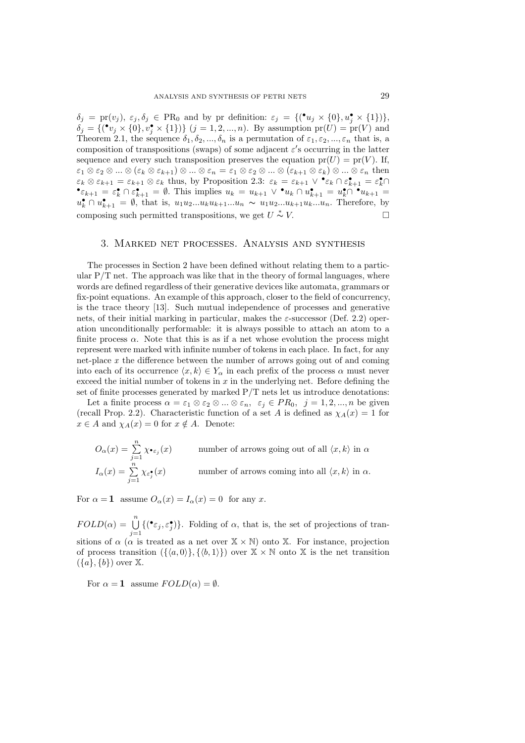$\delta_j = \text{pr}(v_j), \ \varepsilon_j, \delta_j \in \text{PR}_0 \text{ and by pr definition: } \varepsilon_j = \{({}^{\bullet}u_j \times \{0\}, u_j^{\bullet} \times \{1\})\},\$  $\delta_j = \{({}^{\bullet}v_j \times \{0\}, v_j^{\bullet} \times \{1\})\}$   $(j = 1, 2, ..., n)$ . By assumption  $pr(U) = pr(V)$  and Theorem 2.1, the sequence  $\delta_1, \delta_2, ..., \delta_n$  is a permutation of  $\varepsilon_1, \varepsilon_2, ..., \varepsilon_n$  that is, a composition of transpositions (swaps) of some adjacent  $\varepsilon$ 's occurring in the latter sequence and every such transposition preserves the equation  $pr(U) = pr(V)$ . If,  $\varepsilon_1 \otimes \varepsilon_2 \otimes ... \otimes (\varepsilon_k \otimes \varepsilon_{k+1}) \otimes ... \otimes \varepsilon_n = \varepsilon_1 \otimes \varepsilon_2 \otimes ... \otimes (\varepsilon_{k+1} \otimes \varepsilon_k) \otimes ... \otimes \varepsilon_n$  then  $\varepsilon_k \otimes \varepsilon_{k+1} = \varepsilon_{k+1} \otimes \varepsilon_k$  thus, by Proposition 2.3:  $\varepsilon_k = \varepsilon_{k+1} \vee \bullet \varepsilon_k \cap \varepsilon_{k+1}^{\bullet} = \varepsilon_k^{\bullet} \cap$  $\bullet \varepsilon_{k+1} = \varepsilon_k^{\bullet} \cap \varepsilon_{k+1}^{\bullet} = \emptyset$ . This implies  $u_k = u_{k+1} \vee \bullet u_k \cap u_{k+1}^{\bullet} = u_k^{\bullet} \cap \bullet u_{k+1}^{\bullet} = u_k^{\bullet} \cap \bullet u_k$  $u_k^{\bullet} \cap u_{k+1}^{\bullet} = \emptyset$ , that is,  $u_1u_2...u_ku_{k+1}...u_n \sim u_1u_2...u_{k+1}u_k...u_n$ . Therefore, by composing such permitted transpositions, we get  $U \overset{*}{\sim} V$ .

#### 3. Marked net processes. Analysis and synthesis

The processes in Section 2 have been defined without relating them to a particular  $P/T$  net. The approach was like that in the theory of formal languages, where words are defined regardless of their generative devices like automata, grammars or fix-point equations. An example of this approach, closer to the field of concurrency, is the trace theory [13]. Such mutual independence of processes and generative nets, of their initial marking in particular, makes the  $\varepsilon$ -successor (Def. 2.2) operation unconditionally performable: it is always possible to attach an atom to a finite process  $\alpha$ . Note that this is as if a net whose evolution the process might represent were marked with infinite number of tokens in each place. In fact, for any net-place *x* the difference between the number of arrows going out of and coming into each of its occurrence  $\langle x, k \rangle \in Y_\alpha$  in each prefix of the process  $\alpha$  must never exceed the initial number of tokens in  $x$  in the underlying net. Before defining the set of finite processes generated by marked  $P/T$  nets let us introduce denotations:

Let a finite process  $\alpha = \varepsilon_1 \otimes \varepsilon_2 \otimes ... \otimes \varepsilon_n, \varepsilon_j \in PR_0, \ j = 1, 2, ..., n$  be given (recall Prop. 2.2). Characteristic function of a set A is defined as  $\chi_A(x) = 1$  for  $x \in A$  and  $\chi_A(x) = 0$  for  $x \notin A$ . Denote:

$$
O_{\alpha}(x) = \sum_{j=1}^{n} \chi \bullet_{\varepsilon_{j}}(x)
$$
 number of arrows going out of all  $\langle x, k \rangle$  in  $\alpha$   

$$
I_{\alpha}(x) = \sum_{j=1}^{n} \chi_{\varepsilon_{j}^{\bullet}}(x)
$$
 number of arrows coming into all  $\langle x, k \rangle$  in  $\alpha$ .

For  $\alpha = 1$  assume  $O_{\alpha}(x) = I_{\alpha}(x) = 0$  for any x.

 $FOLD(\alpha) = \bigcup_{n=1}^{n}$  $\bigcup_{j=1}^{\infty} \{({}^{\bullet}\varepsilon_j, \varepsilon_j^{\bullet})\}.$  Folding of  $\alpha$ , that is, the set of projections of transitions of  $\alpha$  ( $\alpha$  is treated as a net over  $\mathbb{X} \times \mathbb{N}$ ) onto X. For instance, projection of process transition  $({\{\langle a, 0 \rangle\}, {\{\langle b, 1 \rangle\}}})$  over  $\mathbb{X} \times \mathbb{N}$  onto  $\mathbb{X}$  is the net transition  $({a}, {b})$  over X.

For  $\alpha = 1$  assume  $FOLD(\alpha) = \emptyset$ .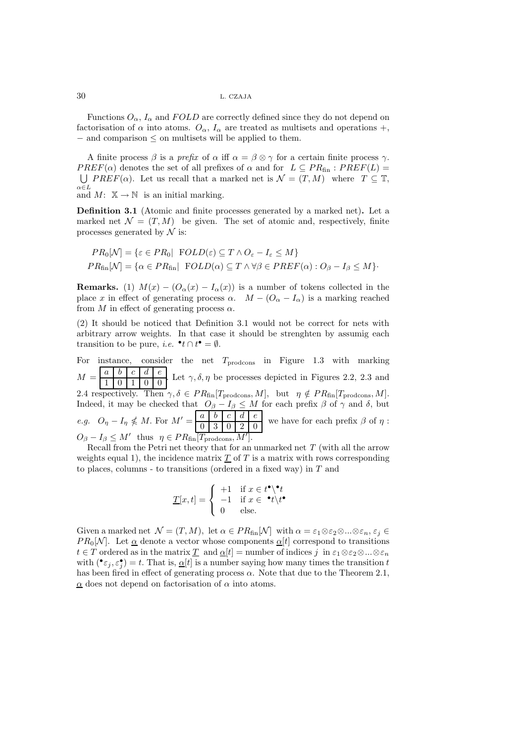Functions  $O_{\alpha}$ ,  $I_{\alpha}$  and  $FOLD$  are correctly defined since they do not depend on factorisation of  $\alpha$  into atoms.  $O_{\alpha}$ ,  $I_{\alpha}$  are treated as multisets and operations +, − and comparison ≤ on multisets will be applied to them.

A finite process  $\beta$  is a *prefix* of  $\alpha$  iff  $\alpha = \beta \otimes \gamma$  for a certain finite process  $\gamma$ .  $PREF(\alpha)$  denotes the set of all prefixes of  $\alpha$  and for  $L \subseteq PR_{fin}: PREF(L)$  $\bigcup \text{ } PREF(\alpha)$ . Let us recall that a marked net is  $\mathcal{N}=(T,M)$  where  $T\subseteq \mathbb{T}$ ,  $\alpha \in L$ and  $M: \mathbb{X} \to \mathbb{N}$  is an initial marking.

**Definition 3.1** (Atomic and finite processes generated by a marked net)**.** Let a marked net  $\mathcal{N} = (T, M)$  be given. The set of atomic and, respectively, finite processes generated by  $\mathcal N$  is:

$$
PR_0[\mathcal{N}] = \{ \varepsilon \in PR_0 | \text{ FOLD}(\varepsilon) \subseteq T \land O_\varepsilon - I_\varepsilon \le M \}
$$
  

$$
PR_{fin}[\mathcal{N}] = \{ \alpha \in PR_{fin} | \text{ FOLD}(\alpha) \subseteq T \land \forall \beta \in PREF(\alpha) : O_\beta - I_\beta \le M \}.
$$

**Remarks.** (1)  $M(x) - (O_{\alpha}(x) - I_{\alpha}(x))$  is a number of tokens collected in the place x in effect of generating process  $\alpha$ .  $M - (O_{\alpha} - I_{\alpha})$  is a marking reached from M in effect of generating process  $\alpha$ .

(2) It should be noticed that Definition 3.1 would not be correct for nets with arbitrary arrow weights. In that case it should be strenghten by assumig each transition to be pure, *i.e.*  $\mathbf{t} \cap t^{\bullet} = \emptyset$ .

For instance, consider the net  $T_{\text{prodcons}}$  in Figure 1.3 with marking  $M = \begin{array}{|c|c|c|c|c|} \hline a & b & c \\ \hline 1 & 0 & 1 \\ \hline \end{array}$ . Let  $\gamma$ ,  $\delta$ ,  $\eta$  be processes depicted in Figures 2.2, 2.3 and 2.4 respectively. Then  $\gamma, \delta \in PR_{fin}[T_{\text{prodcons}}, M]$ , but  $\eta \notin PR_{fin}[T_{\text{prodcons}}, M]$ . Indeed, it may be checked that  $O_\beta - I_\beta \leq M$  for each prefix  $\beta$  of  $\gamma$  and  $\delta$ , but *e.g.*  $O_{\eta} - I_{\eta} \nleq M$ . For  $M' = \begin{array}{|c|c|c|c|c|} \hline a & b & c & d & e \\hline 0 & 3 & 0 & 2 & 0 \\hline \end{array}$ we have for each prefix  $\beta$  of  $\eta$ :  $O_\beta - I_\beta \leq M'$  thus  $\eta \in PR_{fin}$  [T<sub>prodcons</sub>, M'].

Recall from the Petri net theory that for an unmarked net *T* (with all the arrow weights equal 1), the incidence matrix  $T$  of  $T$  is a matrix with rows corresponding to places, columns - to transitions (ordered in a fixed way) in  $T$  and

$$
\underline{T}[x,t] = \begin{cases}\n+1 & \text{if } x \in t^{\bullet} \backslash t^{\bullet} \\
-1 & \text{if } x \in \mathbf{f} \backslash t^{\bullet} \\
0 & \text{else.} \n\end{cases}
$$

Given a marked net  $\mathcal{N} = (T, M)$ , let  $\alpha \in PR_{fin}[\mathcal{N}]$  with  $\alpha = \varepsilon_1 \otimes \varepsilon_2 \otimes ... \otimes \varepsilon_n$ ,  $\varepsilon_i \in$  $PR_0[N]$ . Let  $\alpha$  denote a vector whose components  $\alpha[t]$  correspond to transitions  $t \in T$  ordered as in the matrix  $\underline{T}$  and  $\underline{\alpha}[t] =$  number of indices j in  $\varepsilon_1 \otimes \varepsilon_2 \otimes ... \otimes \varepsilon_n$ with  $(\bullet \varepsilon_j, \varepsilon_j) = t$ . That is,  $\underline{\alpha}[t]$  is a number saying how many times the transition t has been fired in effect of generating process  $\alpha$ . Note that due to the Theorem 2.1,  $\alpha$  does not depend on factorisation of  $\alpha$  into atoms.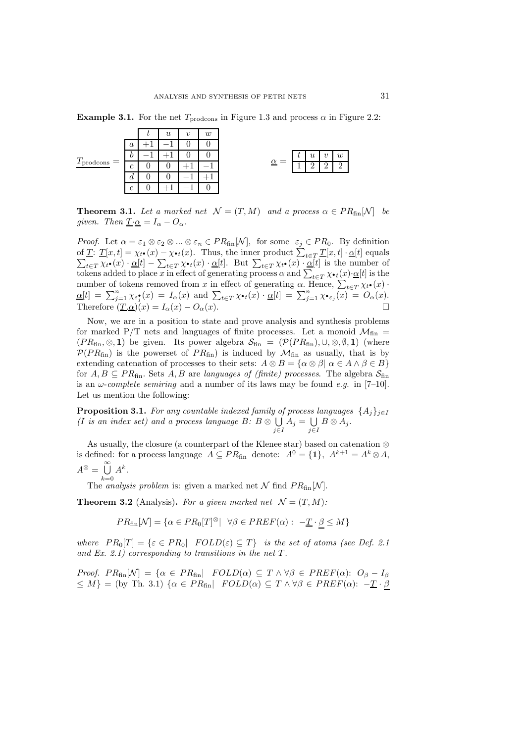|                      |                  | $\boldsymbol{\mathit{u}}$ | 21 | w |
|----------------------|------------------|---------------------------|----|---|
| $T_{\rm prodcons} =$ | $\boldsymbol{a}$ |                           |    |   |
|                      |                  |                           |    |   |
|                      | Ċ                |                           |    |   |
|                      | a                |                           |    |   |
|                      | e                |                           |    |   |

**Example 3.1.** For the net  $T_{\text{prodcons}}$  in Figure 1.3 and process  $\alpha$  in Figure 2.2:

**Theorem 3.1.** Let a marked net  $\mathcal{N} = (T, M)$  and a process  $\alpha \in PR_{fin}[\mathcal{N}]$  be *given.* Then  $\underline{T}\cdot \underline{\alpha} = I_{\alpha} - O_{\alpha}$ .

 $\alpha =$ 

 $1 \mid 2 \mid 2 \mid 2$ 

*Proof.* Let  $\alpha = \varepsilon_1 \otimes \varepsilon_2 \otimes ... \otimes \varepsilon_n \in PR_{fin}[\mathcal{N}]$ , for some  $\varepsilon_j \in PR_0$ . By definition of  $\underline{T}$ :  $\underline{T}[x,t] = \chi_{t\bullet}(x) - \chi_{\bullet t}(x)$ . Thus, the inner product  $\sum_{t \in T} \underline{T}[x,t] \cdot \underline{\alpha}[t]$  equals  $\sum_{t \in T} \sum_{i=1}^{n} x_i e_i(x) - \chi_{i}(x)$ . Thus, the limit product  $\sum_{t \in T} \sum_{i=1}^{n} x_i e_i$   $\chi_{i+1}$   $\chi_{i+1}$   $\chi_{i+1}$   $\chi_{i+1}$   $\chi_{i+1}$   $\chi_{i+1}$   $\chi_{i+1}$   $\chi_{i+1}$   $\chi_{i+1}$  is the number of tokens added to place x in ef number of tokens removed from x in effect of generating  $\alpha$ . Hence,  $\sum_{t \in T} \chi_{t} \cdot (x)$  $\underline{\alpha}[t] = \sum_{j=1}^n \chi_{\varepsilon_j^{\bullet}}(x) = I_{\alpha}(x)$  and  $\sum_{t \in T} \chi_{\bullet}^{\bullet}(x) \cdot \underline{\alpha}[t] = \sum_{j=1}^n \chi_{\bullet}^{\bullet}(x) = O_{\alpha}(x)$ . Therefore  $(\underline{T}.\underline{\alpha})(x) = I_{\alpha}(x) - O_{\alpha}(x)$ .

Now, we are in a position to state and prove analysis and synthesis problems for marked P/T nets and languages of finite processes. Let a monoid  $\mathcal{M}_{fin}$  =  $(P R_{fin}, \otimes, 1)$  be given. Its power algebra  $S_{fin} = (\mathcal{P}(PR_{fin}), \cup, \otimes, \emptyset, 1)$  (where  $\mathcal{P}(PR_{fin})$  is the powerset of  $PR_{fin}$ ) is induced by  $\mathcal{M}_{fin}$  as usually, that is by extending catenation of processes to their sets:  $A \otimes B = {\alpha \otimes \beta} \alpha \in A \wedge \beta \in B$ for  $A, B \subseteq PR_{fin}$ . Sets  $A, B$  are *languages of (finite) processes*. The algebra  $S_{fin}$ is an ω-*complete semiring* and a number of its laws may be found *e.g.* in [7–10]. Let us mention the following:

**Proposition 3.1.** *For any countable indexed family of process languages*  $\{A_i\}_{i\in I}$ *(I is an index set) and a process language*  $B: B \otimes \bigcup$ j∈I  $A_j = \bigcup$ j∈I  $B\otimes A_j.$ 

As usually, the closure (a counterpart of the Klenee star) based on catenation ⊗ is defined: for a process language  $A \subseteq PR_{fin}$  denote:  $A^0 = \{1\}$ ,  $A^{k+1} = A^k \otimes A$ ,  $A^{\otimes} = \bigcup^{\infty} A^k.$ 

$$
k=0
$$

 $k=0$ <br>The *analysis problem* is: given a marked net N find  $PR_{fin}[\mathcal{N}]$ .

**Theorem 3.2** (Analysis). For a given marked net  $\mathcal{N} = (T, M)$ :

$$
PR_{fin}[\mathcal{N}] = \{ \alpha \in PR_0[T]^\otimes \mid \forall \beta \in PREF(\alpha) : -\underline{T} \cdot \beta \le M \}
$$

*where*  $PR_0[T] = \{ \varepsilon \in PR_0 | \text{ FOLD}(\varepsilon) \subseteq T \}$  *is the set of atoms (see Def. 2.1 and Ex. 2.1) corresponding to transitions in the net* T *.*

*Proof.*  $PR_{fin}[\mathcal{N}] = {\alpha \in PR_{fin} | FOLD(\alpha) \subseteq T \land \forall \beta \in PREF(\alpha): O_{\beta} - I_{\beta}}$  $\leq M$ } = (by Th. 3.1) { $\alpha \in PR_{fin}$   $FOLD(\alpha) \subseteq T \wedge \forall \beta \in PREF(\alpha): -T \cdot \beta$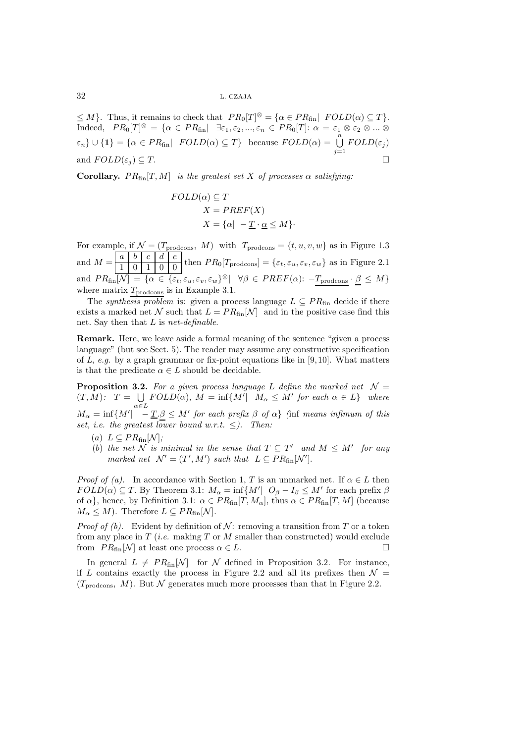$\leq M$ . Thus, it remains to check that  $PR_0[T]^\otimes = {\alpha \in PR_{fin}| \text{ FOLD}(\alpha) \subseteq T}.$  $\text{Indeed,}\quad PR_0[T]^\otimes\ =\ \{\alpha\ \in\ PR_{\text{fin}}|\quad\exists\varepsilon_1,\varepsilon_2,...,\varepsilon_n\ \in\ PR_0[T]\colon \alpha\ =\ \varepsilon_1\ \otimes\ \varepsilon_2\ \otimes...\ \otimes\ \in\ CR_0[T]\}$  $\varepsilon_n$ }  $\cup$  {1} = { $\alpha \in PR_{fin}$ |  $FOLD(\alpha) \subseteq T$ } because  $FOLD(\alpha) = \bigcup_{j=1}^n FOLD(\varepsilon_j)$ and  $FOLD(\varepsilon_i) \subseteq T$ .

**Corollary.**  $PR_{fin}[T, M]$  *is the greatest set* X *of processes*  $\alpha$  *satisfying:* 

$$
FOLD(\alpha) \subseteq T
$$
  

$$
X = PREF(X)
$$
  

$$
X = {\alpha | -\underline{T} \cdot \underline{\alpha} \le M}.
$$

For example, if  $\mathcal{N} = (T_{\text{prodoons}}, M)$  with  $T_{\text{prodoons}} = \{t, u, v, w\}$  as in Figure 1.3 and  $M = \begin{bmatrix} a & b & c & d & e \\ 1 & 0 & 1 & 0 & 0 \\ 0 & 0 & 1 & 0 & 0 \end{bmatrix}$  then  $PR_0[T_{\text{prodcons}}] = \{\varepsilon_t, \varepsilon_u, \varepsilon_v, \varepsilon_w\}$  as in Figure 2.1 and  $PR_{fin}[\mathcal{N}] = {\alpha \in {\varepsilon_t, \varepsilon_w, \varepsilon_w} }^\circ$   $\forall \beta \in PREF(\alpha): -T_{\text{prodcons}} \cdot \beta \leq M$ where matrix  $T_{\text{prodcons}}$  is in Example 3.1.

The *synthesis problem* is: given a process language  $L \subseteq PR_{fin}$  decide if there exists a marked net N such that  $L = PR_{fin}[\mathcal{N}]$  and in the positive case find this net. Say then that L is *net-definable*.

**Remark.** Here, we leave aside a formal meaning of the sentence "given a process" language" (but see Sect. 5). The reader may assume any constructive specification of *L*, *e.g.* by a graph grammar or fix-point equations like in [9, 10]. What matters is that the predicate  $\alpha \in L$  should be decidable.

**Proposition 3.2.** For a given process language L define the marked net  $\mathcal{N} =$  $(T, M): T = \bigcup \text{ FOLD}(\alpha), M = \inf \{M' | M_{\alpha} \leq M' \text{ for each } \alpha \in L \}$  where  $M_{\alpha} = \inf \{ M' | \begin{array}{c} \alpha \in L \\ - \underline{T}.\beta \leq M' \end{array} \}$  for each prefix  $\beta$  of  $\alpha \}$  (inf means infimum of this *set, i.e. the greatest lower bound w.r.t.*  $\leq$ *). Then:* 

- $(a) L \subseteq PR_{fin}[\mathcal{N}];$
- (b) the net  $N$  is minimal in the sense that  $T \subseteq T'$  and  $M \leq M'$  for any *marked net*  $\mathcal{N}' = (T', M')$  *such that*  $L \subseteq PR_{fin}[\mathcal{N}']$ .

*Proof of (a).* In accordance with Section 1, T is an unmarked net. If  $\alpha \in L$  then  $FOLD(\alpha) \subseteq T$ . By Theorem 3.1:  $M_{\alpha} = \inf \{ M' | O_{\beta} - I_{\beta} \leq M' \text{ for each prefix } \beta \}$ of  $\alpha$ , hence, by Definition 3.1:  $\alpha \in PR_{fin}[T, M_{\alpha}]$ , thus  $\alpha \in PR_{fin}[T, M]$  (because  $M_{\alpha} \leq M$ ). Therefore  $L \subseteq PR_{fin}[\mathcal{N}]$ .

*Proof of (b).* Evident by definition of  $N$ : removing a transition from T or a token from any place in T (*i.e.* making T or M smaller than constructed) would exclude from  $PR_{fin}[\mathcal{N}]$  at least one process  $\alpha \in L$ .

In general  $L \neq PR_{fin}[\mathcal{N}]$  for N defined in Proposition 3.2. For instance, if L contains exactly the process in Figure 2.2 and all its prefixes then  $\mathcal{N} =$  $(T_{\text{prodcons}}, M)$ . But  $\mathcal N$  generates much more processes than that in Figure 2.2.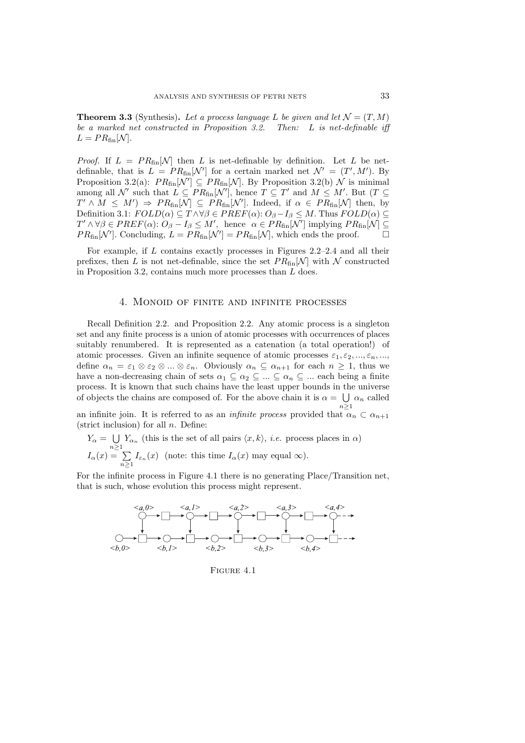**Theorem 3.3** (Synthesis). Let a process language L be given and let  $\mathcal{N} = (T, M)$ *be a marked net constructed in Proposition 3.2. Then:* L *is net-definable iff*  $L = PR_{fin}[\mathcal{N}].$ 

*Proof.* If  $L = PR_{fin}[\mathcal{N}]$  then L is net-definable by definition. Let L be netdefinable, that is  $L = PR_{fin}[\mathcal{N}']$  for a certain marked net  $\mathcal{N}' = (T', M')$ . By Proposition 3.2(a):  $PR_{fin}[\mathcal{N}'] \subseteq PR_{fin}[\mathcal{N}]$ . By Proposition 3.2(b)  $\mathcal{N}$  is minimal among all N' such that  $L \subseteq PR_{fin}[\mathcal{N}']$ , hence  $T \subseteq T'$  and  $M \leq M'$ . But  $(T \subseteq$  $T' \wedge M \leq M'$   $\Rightarrow PR_{fin}[\mathcal{N}] \subseteq PR_{fin}[\mathcal{N}']$ . Indeed, if  $\alpha \in PR_{fin}[\mathcal{N}]$  then, by Definition 3.1:  $FOLD(\alpha) \subseteq T \land \forall \beta \in PREF(\alpha): O_{\beta}-I_{\beta} \leq M$ . Thus  $FOLD(\alpha) \subseteq$  $T' \wedge \forall \beta \in PREF(\alpha): O_{\beta}-I_{\beta} \leq M'$ , hence  $\alpha \in PR_{fin}[\mathcal{N}']$  implying  $PR_{fin}[\mathcal{N}] \subseteq$  $PR_{fin}[\mathcal{N}']$ . Concluding,  $L = PR_{fin}[\mathcal{N}'] = PR_{fin}[\mathcal{N}]$ , which ends the proof.

For example, if L contains exactly processes in Figures 2.2–2.4 and all their prefixes, then L is not net-definable, since the set  $PR_{fin}[\mathcal{N}]$  with  $\mathcal N$  constructed in Proposition 3.2, contains much more processes than L does.

#### 4. Monoid of finite and infinite processes

Recall Definition 2.2. and Proposition 2.2. Any atomic process is a singleton set and any finite process is a union of atomic processes with occurrences of places suitably renumbered. It is represented as a catenation (a total operation!) of atomic processes. Given an infinite sequence of atomic processes  $\varepsilon_1, \varepsilon_2, ..., \varepsilon_n, ...,$ define  $\alpha_n = \varepsilon_1 \otimes \varepsilon_2 \otimes ... \otimes \varepsilon_n$ . Obviously  $\alpha_n \subseteq \alpha_{n+1}$  for each  $n \geq 1$ , thus we have a non-decreasing chain of sets  $\alpha_1 \subseteq \alpha_2 \subseteq ... \subseteq \alpha_n \subseteq ...$  each being a finite process. It is known that such chains have the least upper bounds in the universe of objects the chains are composed of. For the above chain it is  $\alpha = \bigcup \alpha_n$  called  $n>1$ 

an infinite join. It is referred to as an *infinite process* provided that  $\alpha_n \subset \alpha_{n+1}$ (strict inclusion) for all  $n$ . Define:

 $Y_\alpha = \bigcup$  $n\geq 1$  $Y_{\alpha_n}$  (this is the set of all pairs  $\langle x, k \rangle$ , *i.e.* process places in  $\alpha$ )  $I_{\alpha}(x) = \sum$  $n\geq 1$  $I_{\varepsilon_n}(x)$  (note: this time  $I_{\alpha}(x)$  may equal  $\infty$ ).

For the infinite process in Figure 4.1 there is no generating Place/Transition net, that is such, whose evolution this process might represent.



Figure 4.1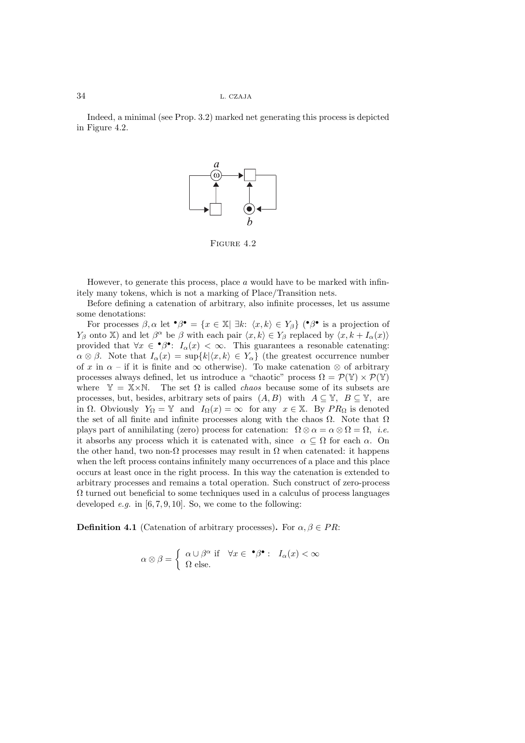Indeed, a minimal (see Prop. 3.2) marked net generating this process is depicted in Figure 4.2.



Figure 4.2

However, to generate this process, place  $a$  would have to be marked with infinitely many tokens, which is not a marking of Place/Transition nets.

Before defining a catenation of arbitrary, also infinite processes, let us assume some denotations:

For processes  $\beta, \alpha$  let  $\mathbf{P}^{\bullet} = \{x \in \mathbb{X} \mid \exists k : \langle x, k \rangle \in Y_{\beta} \}$  ( $\mathbf{P}^{\bullet}$  is a projection of  $Y_\beta$  onto X) and let  $\beta^\alpha$  be  $\beta$  with each pair  $\langle x, k \rangle \in Y_\beta$  replaced by  $\langle x, k + I_\alpha(x) \rangle$ provided that  $\forall x \in \mathcal{P}$ :  $I_{\alpha}(x) < \infty$ . This guarantees a resonable catenating:  $\alpha \otimes \beta$ . Note that  $I_{\alpha}(x) = \sup\{k|\langle x, k \rangle \in Y_{\alpha}\}\$  (the greatest occurrence number of x in  $\alpha$  – if it is finite and  $\infty$  otherwise). To make catenation  $\otimes$  of arbitrary processes always defined, let us introduce a "chaotic" process  $\Omega = \mathcal{P}(\mathbb{Y}) \times \mathcal{P}(\mathbb{Y})$ where  $\mathbb{Y} = \mathbb{X} \times \mathbb{N}$ . The set  $\Omega$  is called *chaos* because some of its subsets are processes, but, besides, arbitrary sets of pairs  $(A, B)$  with  $A \subseteq \mathbb{Y}$ ,  $B \subseteq \mathbb{Y}$ , are in  $\Omega$ . Obviously  $Y_{\Omega} = \mathbb{Y}$  and  $I_{\Omega}(x) = \infty$  for any  $x \in \mathbb{X}$ . By  $PR_{\Omega}$  is denoted the set of all finite and infinite processes along with the chaos  $\Omega$ . Note that  $\Omega$ plays part of annihilating (zero) process for catenation:  $\Omega \otimes \alpha = \alpha \otimes \Omega = \Omega$ , *i.e.* it absorbs any process which it is catenated with, since  $\alpha \subset \Omega$  for each  $\alpha$ . On the other hand, two non- $\Omega$  processes may result in  $\Omega$  when catenated: it happens when the left process contains infinitely many occurrences of a place and this place occurs at least once in the right process. In this way the catenation is extended to arbitrary processes and remains a total operation. Such construct of zero-process  $\Omega$  turned out beneficial to some techniques used in a calculus of process languages developed *e.g.* in [6, 7, 9, 10]. So, we come to the following:

**Definition 4.1** (Catenation of arbitrary processes). For  $\alpha, \beta \in PR$ :

$$
\alpha \otimes \beta = \begin{cases} \alpha \cup \beta^{\alpha} & \text{if } \forall x \in \mathbf{P} \mathbf{P} : I_{\alpha}(x) < \infty \\ \Omega & \text{else.} \end{cases}
$$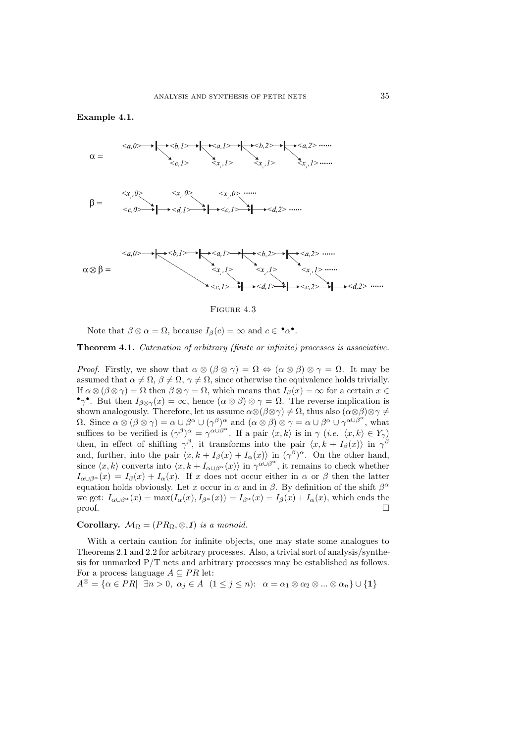### **Example 4.1.**



FIGURE 4.3

Note that  $\beta \otimes \alpha = \Omega$ , because  $I_{\beta}(c) = \infty$  and  $c \in \mathcal{A}$ .

**Theorem 4.1.** *Catenation of arbitrary (finite or infinite) processes is associative.*

*Proof.* Firstly, we show that  $\alpha \otimes (\beta \otimes \gamma) = \Omega \Leftrightarrow (\alpha \otimes \beta) \otimes \gamma = \Omega$ . It may be assumed that  $\alpha \neq \Omega$ ,  $\beta \neq \Omega$ ,  $\gamma \neq \Omega$ , since otherwise the equivalence holds trivially. If  $\alpha \otimes (\beta \otimes \gamma) = \Omega$  then  $\beta \otimes \gamma = \Omega$ , which means that  $I_{\beta}(x) = \infty$  for a certain  $x \in$ •γ•. But then  $I_{\beta \otimes \gamma}(x) = \infty$ , hence  $(\alpha \otimes \beta) \otimes \gamma = \Omega$ . The reverse implication is shown analogously. Therefore, let us assume  $\alpha \otimes (\beta \otimes \gamma) \neq \Omega$ , thus also  $(\alpha \otimes \beta) \otimes \gamma \neq \emptyset$  $\Omega$ . Since  $\alpha \otimes (\beta \otimes \gamma) = \alpha \cup \beta^{\alpha} \cup (\gamma^{\beta})^{\alpha}$  and  $(\alpha \otimes \beta) \otimes \gamma = \alpha \cup \beta^{\alpha} \cup \gamma^{\alpha \cup \beta^{\alpha}}$ , what suffices to be verified is  $({\gamma}^{\beta})^{\alpha} = {\gamma}^{\alpha \cup {\beta}^{\alpha}}$ . If a pair  $\langle x, k \rangle$  is in  $\gamma$  (*i.e.*  $\langle x, k \rangle \in Y_{\gamma}$ ) then, in effect of shifting  $\gamma^{\beta}$ , it transforms into the pair  $\langle x, k + I_{\beta}(x) \rangle$  in  $\gamma^{\beta}$ and, further, into the pair  $\langle x, k + I_\beta(x) + I_\alpha(x) \rangle$  in  $(\gamma^\beta)^\alpha$ . On the other hand, since  $\langle x, k \rangle$  converts into  $\langle x, k + I_{\alpha \cup \beta^{\alpha}}(x) \rangle$  in  $\gamma^{\alpha \cup \beta^{\alpha}}$ , it remains to check whether  $I_{\alpha\cup\beta}(\alpha) = I_{\beta}(x) + I_{\alpha}(x)$ . If x does not occur either in  $\alpha$  or  $\beta$  then the latter equation holds obviously. Let x occur in  $\alpha$  and in  $\beta$ . By definition of the shift  $\beta^{\alpha}$ we get:  $I_{\alpha \cup \beta^{\alpha}}(x) = \max(I_{\alpha}(x), I_{\beta^{\alpha}}(x)) = I_{\beta^{\alpha}}(x) = I_{\beta}(x) + I_{\alpha}(x)$ , which ends the proof.  $\Box$ 

## **Corollary.**  $M_{\Omega} = (PR_{\Omega}, \otimes, \mathbf{1})$  *is a monoid.*

With a certain caution for infinite objects, one may state some analogues to Theorems 2.1 and 2.2 for arbitrary processes. Also, a trivial sort of analysis/synthesis for unmarked  $P/T$  nets and arbitrary processes may be established as follows. For a process language  $A \subseteq PR$  let:

 $A^{\otimes} = {\alpha \in PR}$   $\exists n > 0, \ \alpha_j \in A \ \ (1 \leq j \leq n) : \ \alpha = \alpha_1 \otimes \alpha_2 \otimes ... \otimes \alpha_n \} \cup \{1\}$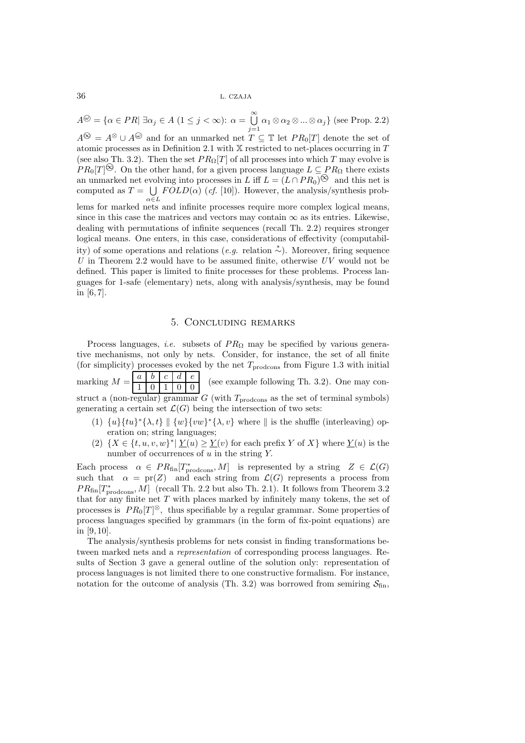$A^{\textcircled{\tiny{\triangle}}} = \{\alpha \in PR | \; \exists \alpha_j \in A \; (1 \leq j < \infty) : \, \alpha = \stackrel{\infty}{\bigcup} \}$  $\bigcup_{j=1}^{n} \alpha_1 \otimes \alpha_2 \otimes ... \otimes \alpha_j$  (see Prop. 2.2)

 $A^{\bigotimes} = A^{\bigotimes} \cup A^{\bigotimes}$  and for an unmarked net  $T \subseteq \mathbb{T}$  let  $PR_0[T]$  denote the set of atomic processes as in Definition 2.1 with  $X$  restricted to net-places occurring in  $T$ (see also Th. 3.2). Then the set  $PR_{\Omega}[T]$  of all processes into which T may evolve is  $PR_0[T]$ <sup> $\otimes$ </sup>. On the other hand, for a given process language  $L \subseteq PR_{\Omega}$  there exists an unmarked net evolving into processes in L iff  $L = (L \cap PR_0) \otimes$  and this net is computed as  $T = \bigcup \text{ FOLD}(\alpha)$  (*cf.* [10]). However, the analysis/synthesis prob- $\alpha{\in}L$ lems for marked nets and infinite processes require more complex logical means, since in this case the matrices and vectors may contain  $\infty$  as its entries. Likewise, dealing with permutations of infinite sequences (recall Th. 2.2) requires stronger logical means. One enters, in this case, considerations of effectivity (computability) of some operations and relations  $(e.g.$  relation  $\stackrel{*}{\sim}$ ). Moreover, firing sequence *U* in Theorem 2.2 would have to be assumed finite, otherwise *UV* would not be defined. This paper is limited to finite processes for these problems. Process languages for 1-safe (elementary) nets, along with analysis/synthesis, may be found

in [6, 7].

## 5. Concluding remarks

Process languages, *i.e.* subsets of  $PR_{\Omega}$  may be specified by various generative mechanisms, not only by nets. Consider, for instance, the set of all finite (for simplicity) processes evoked by the net  $T_{\text{prodcons}}$  from Figure 1.3 with initial marking  $M = \begin{array}{|c|c|c|c|c|} \hline a & b & c & d & e \\ \hline 1 & 0 & 1 & 0 & 0 \\ \hline \end{array}$ (see example following Th.  $3.2$ ). One may construct a (non-regular) grammar  $G$  (with  $T_{\text{prodcons}}$  as the set of terminal symbols) generating a certain set  $\mathcal{L}(G)$  being the intersection of two sets:

- (1)  ${u}{tu}^{*}{\lambda, t} \parallel {w}{vw}^{*}{\lambda, v}$  where  $\parallel$  is the shuffle (interleaving) operation on; string languages;
- (2)  $\{X \in \{t, u, v, w\}^* | Y(u) \geq Y(v) \text{ for each prefix } Y \text{ of } X\}$  where  $Y(u)$  is the number of occurrences of  $u$  in the string  $Y$ .

Each process  $\alpha \in PR_{fin}[T^*_{\text{prodcons}}, M]$  is represented by a string  $Z \in \mathcal{L}(G)$ such that  $\alpha = \text{pr}(Z)$  and each string from  $\mathcal{L}(G)$  represents a process from  $PR_{fin}[T^*_{\text{prodcons}}, M]$  (recall Th. 2.2 but also Th. 2.1). It follows from Theorem 3.2 that for any finite net  $T$  with places marked by infinitely many tokens, the set of processes is  $PR_0[T]^\otimes$ , thus specifiable by a regular grammar. Some properties of process languages specified by grammars (in the form of fix-point equations) are in [9, 10].

The analysis/synthesis problems for nets consist in finding transformations between marked nets and a *representation* of corresponding process languages. Results of Section 3 gave a general outline of the solution only: representation of process languages is not limited there to one constructive formalism. For instance, notation for the outcome of analysis (Th. 3.2) was borrowed from semiring  $S_{fin}$ ,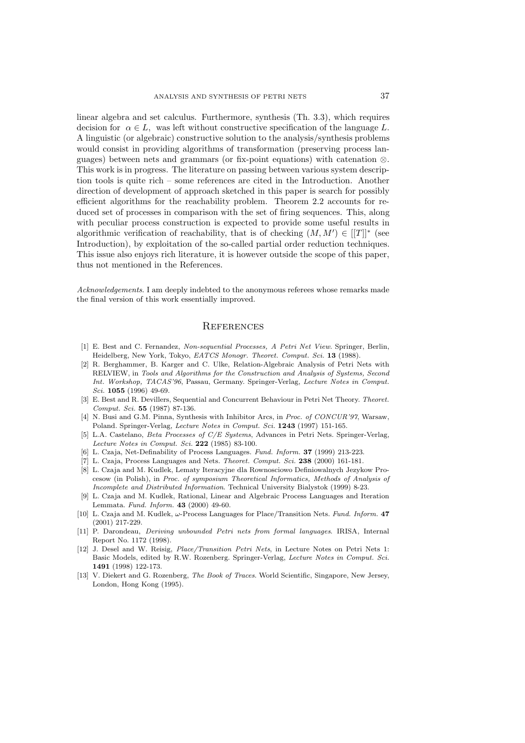linear algebra and set calculus. Furthermore, synthesis (Th. 3.3), which requires decision for  $\alpha \in L$ , was left without constructive specification of the language L. A linguistic (or algebraic) constructive solution to the analysis/synthesis problems would consist in providing algorithms of transformation (preserving process languages) between nets and grammars (or fix-point equations) with catenation ⊗. This work is in progress. The literature on passing between various system description tools is quite rich – some references are cited in the Introduction. Another direction of development of approach sketched in this paper is search for possibly efficient algorithms for the reachability problem. Theorem 2.2 accounts for reduced set of processes in comparison with the set of firing sequences. This, along with peculiar process construction is expected to provide some useful results in algorithmic verification of reachability, that is of checking  $(M, M') \in [[T]]^*$  (see Introduction), by exploitation of the so-called partial order reduction techniques. This issue also enjoys rich literature, it is however outside the scope of this paper, thus not mentioned in the References.

Acknowledgements. I am deeply indebted to the anonymous referees whose remarks made the final version of this work essentially improved.

## **REFERENCES**

- [1] E. Best and C. Fernandez, Non-sequential Processes, A Petri Net View. Springer, Berlin, Heidelberg, New York, Tokyo, EATCS Monogr. Theoret. Comput. Sci. **13** (1988).
- [2] R. Berghammer, B. Karger and C. Ulke, Relation-Algebraic Analysis of Petri Nets with RELVIEW, in Tools and Algorithms for the Construction and Analysis of Systems, Second Int. Workshop, TACAS'96, Passau, Germany. Springer-Verlag, Lecture Notes in Comput. Sci. **1055** (1996) 49-69.
- [3] E. Best and R. Devillers, Sequential and Concurrent Behaviour in Petri Net Theory. Theoret. Comput. Sci. **55** (1987) 87-136.
- [4] N. Busi and G.M. Pinna, Synthesis with Inhibitor Arcs, in Proc. of CONCUR'97, Warsaw, Poland. Springer-Verlag, Lecture Notes in Comput. Sci. **1243** (1997) 151-165.
- [5] L.A. Castelano, Beta Processes of C/E Systems, Advances in Petri Nets. Springer-Verlag, Lecture Notes in Comput. Sci. **222** (1985) 83-100.
- [6] L. Czaja, Net-Definability of Process Languages. Fund. Inform. **37** (1999) 213-223.
- [7] L. Czaja, Process Languages and Nets. Theoret. Comput. Sci. **238** (2000) 161-181.
- [8] L. Czaja and M. Kudlek, Lematy Iteracyjne dla Rownosciowo Definiowalnych Jezykow Procesow (in Polish), in Proc. of symposium Theoretical Informatics, Methods of Analysis of Incomplete and Distributed Information. Technical University Bialystok (1999) 8-23.
- [9] L. Czaja and M. Kudlek, Rational, Linear and Algebraic Process Languages and Iteration Lemmata. Fund. Inform. **43** (2000) 49-60.
- [10] L. Czaja and M. Kudlek, ω-Process Languages for Place/Transition Nets. Fund. Inform. **47** (2001) 217-229.
- [11] P. Darondeau, Deriving unbounded Petri nets from formal languages. IRISA, Internal Report No. 1172 (1998).
- [12] J. Desel and W. Reisig, Place/Transition Petri Nets, in Lecture Notes on Petri Nets 1: Basic Models, edited by R.W. Rozenberg. Springer-Verlag, Lecture Notes in Comput. Sci. **1491** (1998) 122-173.
- [13] V. Diekert and G. Rozenberg, The Book of Traces. World Scientific, Singapore, New Jersey, London, Hong Kong (1995).